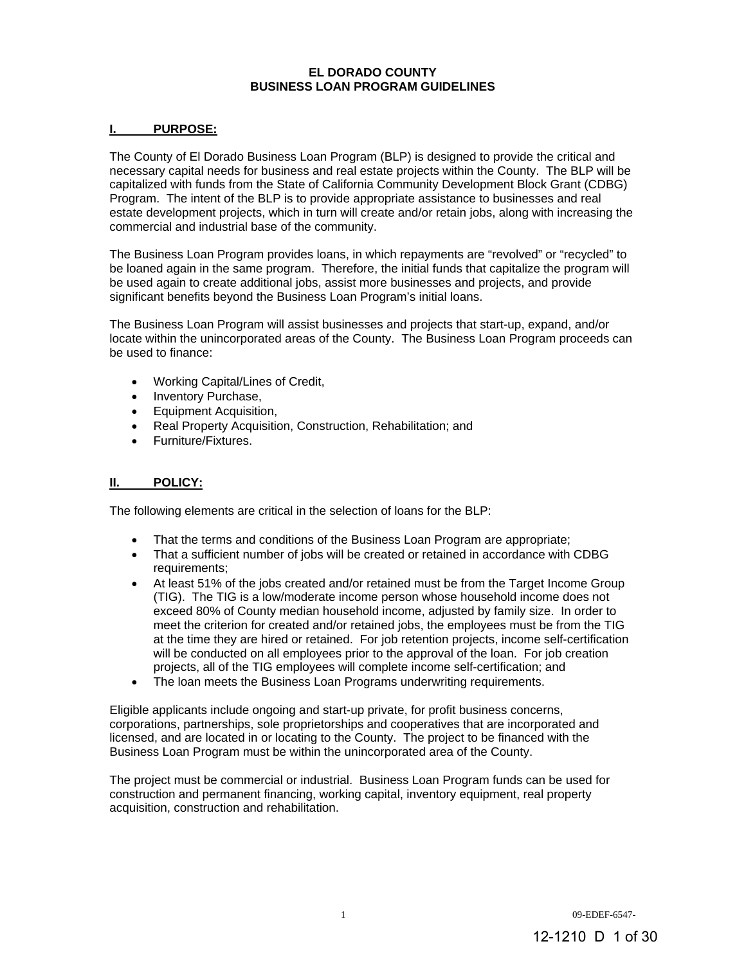## **EL DORADO COUNTY BUSINESS LOAN PROGRAM GUIDELINES**

## **I. PURPOSE:**

The County of El Dorado Business Loan Program (BLP) is designed to provide the critical and necessary capital needs for business and real estate projects within the County. The BLP will be capitalized with funds from the State of California Community Development Block Grant (CDBG) Program. The intent of the BLP is to provide appropriate assistance to businesses and real estate development projects, which in turn will create and/or retain jobs, along with increasing the commercial and industrial base of the community.

The Business Loan Program provides loans, in which repayments are "revolved" or "recycled" to be loaned again in the same program. Therefore, the initial funds that capitalize the program will be used again to create additional jobs, assist more businesses and projects, and provide significant benefits beyond the Business Loan Program's initial loans.

The Business Loan Program will assist businesses and projects that start-up, expand, and/or locate within the unincorporated areas of the County. The Business Loan Program proceeds can be used to finance:

- Working Capital/Lines of Credit,
- Inventory Purchase,
- Equipment Acquisition.
- Real Property Acquisition, Construction, Rehabilitation; and
- Furniture/Fixtures.

## **II. POLICY:**

The following elements are critical in the selection of loans for the BLP:

- That the terms and conditions of the Business Loan Program are appropriate;
- That a sufficient number of jobs will be created or retained in accordance with CDBG requirements;
- At least 51% of the jobs created and/or retained must be from the Target Income Group (TIG). The TIG is a low/moderate income person whose household income does not exceed 80% of County median household income, adjusted by family size. In order to meet the criterion for created and/or retained jobs, the employees must be from the TIG at the time they are hired or retained. For job retention projects, income self-certification will be conducted on all employees prior to the approval of the loan. For job creation projects, all of the TIG employees will complete income self-certification; and
- The loan meets the Business Loan Programs underwriting requirements.

Eligible applicants include ongoing and start-up private, for profit business concerns, corporations, partnerships, sole proprietorships and cooperatives that are incorporated and licensed, and are located in or locating to the County. The project to be financed with the Business Loan Program must be within the unincorporated area of the County.

The project must be commercial or industrial. Business Loan Program funds can be used for construction and permanent financing, working capital, inventory equipment, real property acquisition, construction and rehabilitation.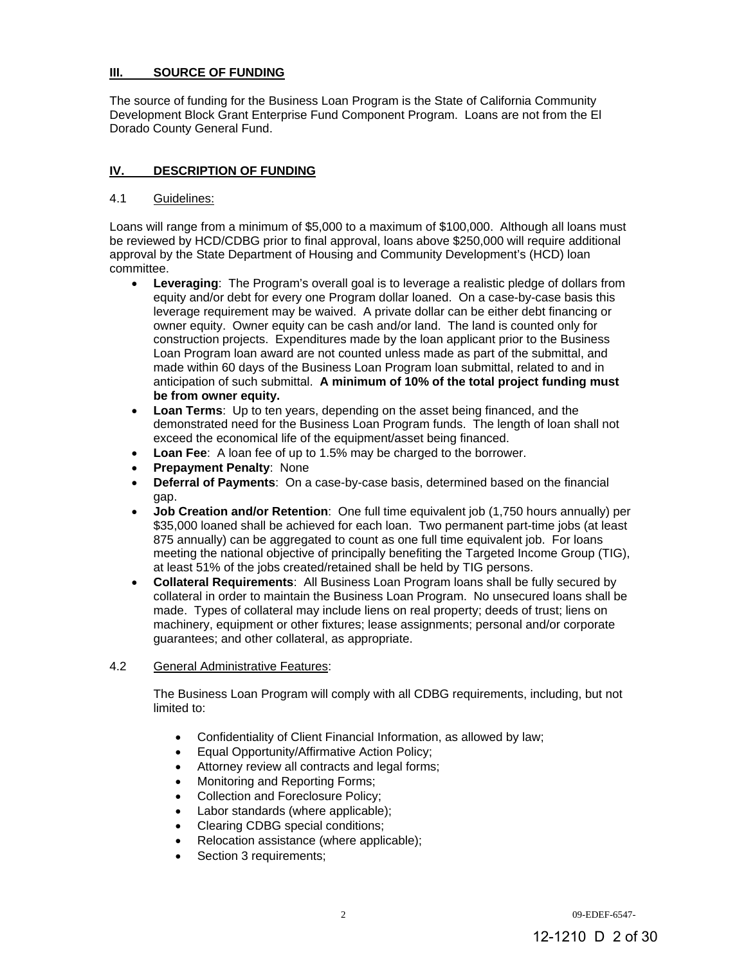## **III. SOURCE OF FUNDING**

The source of funding for the Business Loan Program is the State of California Community Development Block Grant Enterprise Fund Component Program. Loans are not from the El Dorado County General Fund.

# **IV. DESCRIPTION OF FUNDING**

## 4.1 Guidelines:

Loans will range from a minimum of \$5,000 to a maximum of \$100,000. Although all loans must be reviewed by HCD/CDBG prior to final approval, loans above \$250,000 will require additional approval by the State Department of Housing and Community Development's (HCD) loan committee.

- **Leveraging**: The Program's overall goal is to leverage a realistic pledge of dollars from equity and/or debt for every one Program dollar loaned. On a case-by-case basis this leverage requirement may be waived. A private dollar can be either debt financing or owner equity. Owner equity can be cash and/or land. The land is counted only for construction projects. Expenditures made by the loan applicant prior to the Business Loan Program loan award are not counted unless made as part of the submittal, and made within 60 days of the Business Loan Program loan submittal, related to and in anticipation of such submittal. **A minimum of 10% of the total project funding must be from owner equity.**
- **Loan Terms**: Up to ten years, depending on the asset being financed, and the demonstrated need for the Business Loan Program funds. The length of loan shall not exceed the economical life of the equipment/asset being financed.
- **Loan Fee**: A loan fee of up to 1.5% may be charged to the borrower.
- **Prepayment Penalty**: None
- **Deferral of Payments**: On a case-by-case basis, determined based on the financial gap.
- **Job Creation and/or Retention**: One full time equivalent job (1,750 hours annually) per \$35,000 loaned shall be achieved for each loan. Two permanent part-time jobs (at least 875 annually) can be aggregated to count as one full time equivalent job. For loans meeting the national objective of principally benefiting the Targeted Income Group (TIG), at least 51% of the jobs created/retained shall be held by TIG persons.
- **Collateral Requirements**: All Business Loan Program loans shall be fully secured by collateral in order to maintain the Business Loan Program. No unsecured loans shall be made. Types of collateral may include liens on real property; deeds of trust; liens on machinery, equipment or other fixtures; lease assignments; personal and/or corporate guarantees; and other collateral, as appropriate.

## 4.2 General Administrative Features:

The Business Loan Program will comply with all CDBG requirements, including, but not limited to:

- Confidentiality of Client Financial Information, as allowed by law;
- Equal Opportunity/Affirmative Action Policy;
- Attorney review all contracts and legal forms;
- Monitoring and Reporting Forms;
- Collection and Foreclosure Policy;
- Labor standards (where applicable);
- Clearing CDBG special conditions;
- Relocation assistance (where applicable);
- Section 3 requirements;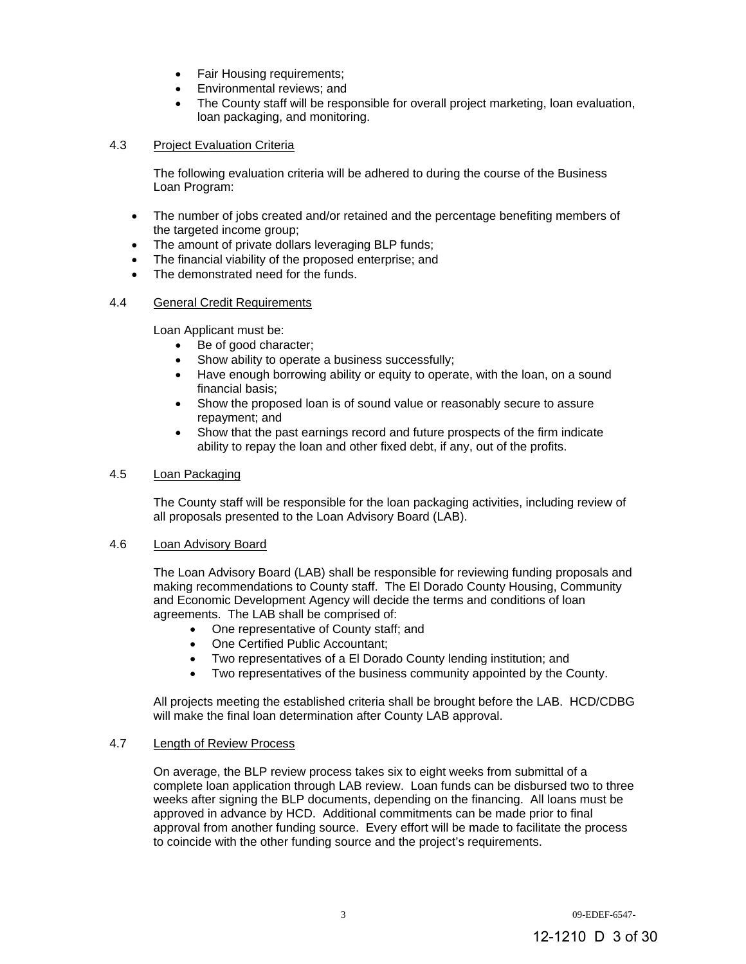- Fair Housing requirements;
- Environmental reviews; and
- The County staff will be responsible for overall project marketing, loan evaluation, loan packaging, and monitoring.

## 4.3 Project Evaluation Criteria

 The following evaluation criteria will be adhered to during the course of the Business Loan Program:

- The number of jobs created and/or retained and the percentage benefiting members of the targeted income group;
- The amount of private dollars leveraging BLP funds;
- The financial viability of the proposed enterprise; and
- The demonstrated need for the funds.

# 4.4 General Credit Requirements

Loan Applicant must be:

- Be of good character;
- Show ability to operate a business successfully;
- Have enough borrowing ability or equity to operate, with the loan, on a sound financial basis;
- Show the proposed loan is of sound value or reasonably secure to assure repayment; and
- Show that the past earnings record and future prospects of the firm indicate ability to repay the loan and other fixed debt, if any, out of the profits.

## 4.5 Loan Packaging

The County staff will be responsible for the loan packaging activities, including review of all proposals presented to the Loan Advisory Board (LAB).

## 4.6 Loan Advisory Board

The Loan Advisory Board (LAB) shall be responsible for reviewing funding proposals and making recommendations to County staff. The El Dorado County Housing, Community and Economic Development Agency will decide the terms and conditions of loan agreements. The LAB shall be comprised of:

- One representative of County staff; and
- One Certified Public Accountant;
- Two representatives of a El Dorado County lending institution; and
- Two representatives of the business community appointed by the County.

All projects meeting the established criteria shall be brought before the LAB. HCD/CDBG will make the final loan determination after County LAB approval.

# 4.7 Length of Review Process

On average, the BLP review process takes six to eight weeks from submittal of a complete loan application through LAB review. Loan funds can be disbursed two to three weeks after signing the BLP documents, depending on the financing. All loans must be approved in advance by HCD. Additional commitments can be made prior to final approval from another funding source. Every effort will be made to facilitate the process to coincide with the other funding source and the project's requirements.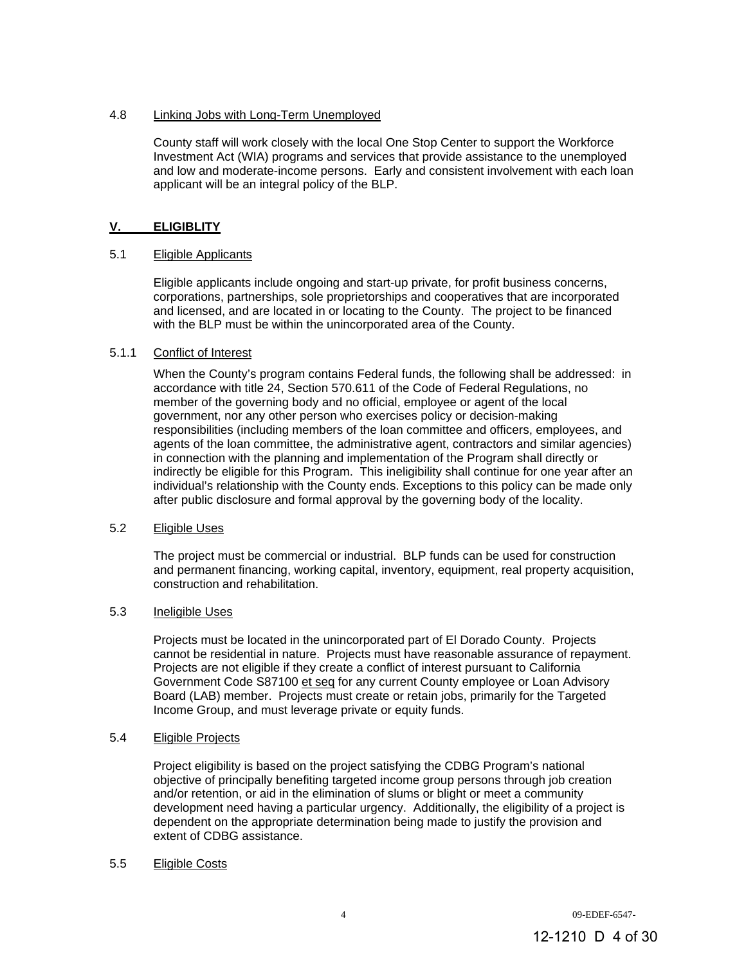# 4.8 Linking Jobs with Long-Term Unemployed

County staff will work closely with the local One Stop Center to support the Workforce Investment Act (WIA) programs and services that provide assistance to the unemployed and low and moderate-income persons. Early and consistent involvement with each loan applicant will be an integral policy of the BLP.

# **V. ELIGIBLITY**

## 5.1 Eligible Applicants

Eligible applicants include ongoing and start-up private, for profit business concerns, corporations, partnerships, sole proprietorships and cooperatives that are incorporated and licensed, and are located in or locating to the County. The project to be financed with the BLP must be within the unincorporated area of the County.

## 5.1.1 Conflict of Interest

When the County's program contains Federal funds, the following shall be addressed: in accordance with title 24, Section 570.611 of the Code of Federal Regulations, no member of the governing body and no official, employee or agent of the local government, nor any other person who exercises policy or decision-making responsibilities (including members of the loan committee and officers, employees, and agents of the loan committee, the administrative agent, contractors and similar agencies) in connection with the planning and implementation of the Program shall directly or indirectly be eligible for this Program. This ineligibility shall continue for one year after an individual's relationship with the County ends. Exceptions to this policy can be made only after public disclosure and formal approval by the governing body of the locality.

## 5.2 Eligible Uses

The project must be commercial or industrial. BLP funds can be used for construction and permanent financing, working capital, inventory, equipment, real property acquisition, construction and rehabilitation.

## 5.3 Ineligible Uses

Projects must be located in the unincorporated part of El Dorado County. Projects cannot be residential in nature. Projects must have reasonable assurance of repayment. Projects are not eligible if they create a conflict of interest pursuant to California Government Code S87100 et seq for any current County employee or Loan Advisory Board (LAB) member. Projects must create or retain jobs, primarily for the Targeted Income Group, and must leverage private or equity funds.

## 5.4 Eligible Projects

Project eligibility is based on the project satisfying the CDBG Program's national objective of principally benefiting targeted income group persons through job creation and/or retention, or aid in the elimination of slums or blight or meet a community development need having a particular urgency. Additionally, the eligibility of a project is dependent on the appropriate determination being made to justify the provision and extent of CDBG assistance.

## 5.5 Eligible Costs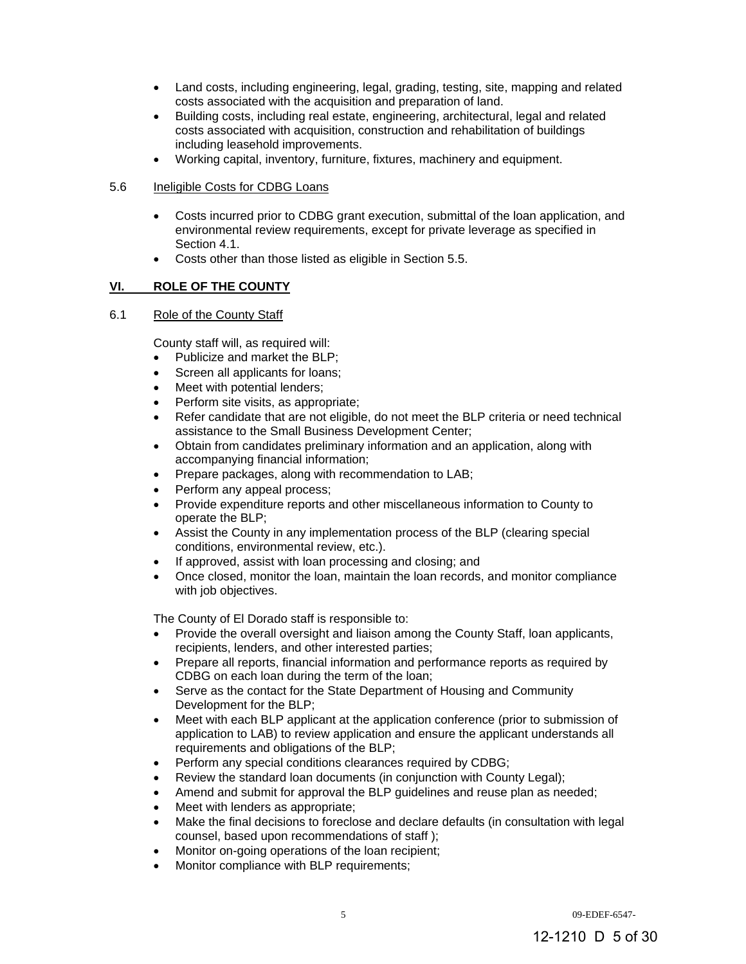- Land costs, including engineering, legal, grading, testing, site, mapping and related costs associated with the acquisition and preparation of land.
- Building costs, including real estate, engineering, architectural, legal and related costs associated with acquisition, construction and rehabilitation of buildings including leasehold improvements.
- Working capital, inventory, furniture, fixtures, machinery and equipment.

## 5.6 Ineligible Costs for CDBG Loans

- Costs incurred prior to CDBG grant execution, submittal of the loan application, and environmental review requirements, except for private leverage as specified in Section 4.1.
- Costs other than those listed as eligible in Section 5.5.

# **VI. ROLE OF THE COUNTY**

## 6.1 Role of the County Staff

County staff will, as required will:

- Publicize and market the BLP:
- Screen all applicants for loans;
- Meet with potential lenders;
- Perform site visits, as appropriate;
- Refer candidate that are not eligible, do not meet the BLP criteria or need technical assistance to the Small Business Development Center;
- Obtain from candidates preliminary information and an application, along with accompanying financial information;
- Prepare packages, along with recommendation to LAB;
- Perform any appeal process;
- Provide expenditure reports and other miscellaneous information to County to operate the BLP;
- Assist the County in any implementation process of the BLP (clearing special conditions, environmental review, etc.).
- If approved, assist with loan processing and closing; and
- Once closed, monitor the loan, maintain the loan records, and monitor compliance with job objectives.

The County of El Dorado staff is responsible to:

- Provide the overall oversight and liaison among the County Staff, loan applicants, recipients, lenders, and other interested parties;
- Prepare all reports, financial information and performance reports as required by CDBG on each loan during the term of the loan;
- Serve as the contact for the State Department of Housing and Community Development for the BLP;
- Meet with each BLP applicant at the application conference (prior to submission of application to LAB) to review application and ensure the applicant understands all requirements and obligations of the BLP;
- Perform any special conditions clearances required by CDBG;
- Review the standard loan documents (in conjunction with County Legal);
- Amend and submit for approval the BLP guidelines and reuse plan as needed;
- Meet with lenders as appropriate;
- Make the final decisions to foreclose and declare defaults (in consultation with legal counsel, based upon recommendations of staff );
- Monitor on-going operations of the loan recipient;
- Monitor compliance with BLP requirements;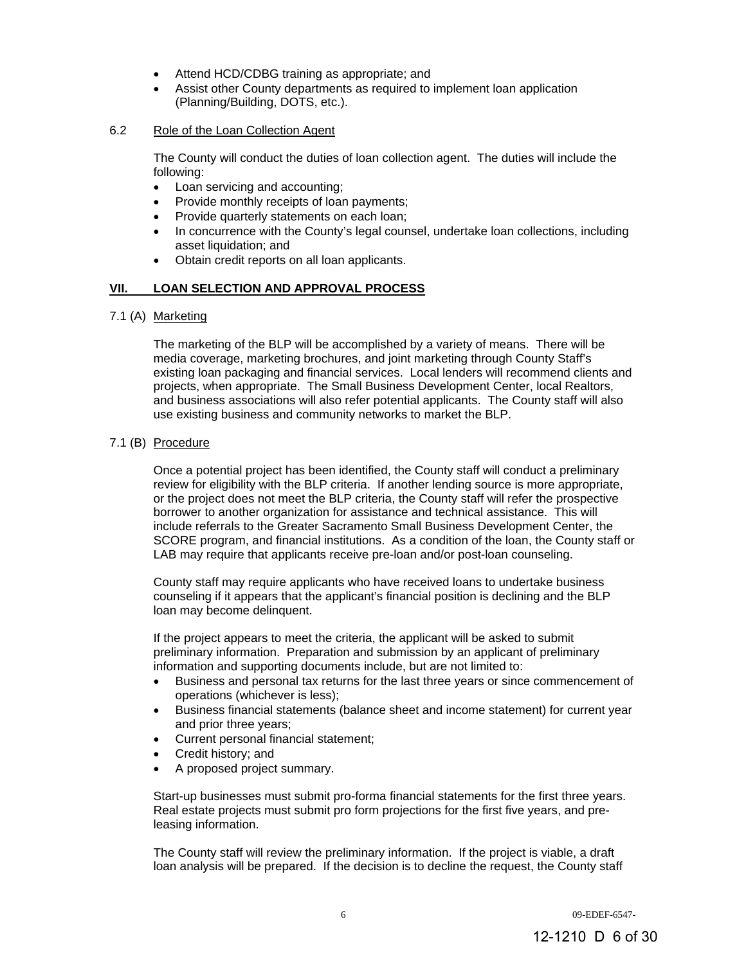- Attend HCD/CDBG training as appropriate; and
- Assist other County departments as required to implement loan application (Planning/Building, DOTS, etc.).

## 6.2 Role of the Loan Collection Agent

The County will conduct the duties of loan collection agent. The duties will include the following:

- Loan servicing and accounting;
- Provide monthly receipts of loan payments;
- Provide quarterly statements on each loan;
- In concurrence with the County's legal counsel, undertake loan collections, including asset liquidation; and
- Obtain credit reports on all loan applicants.

## **VII. LOAN SELECTION AND APPROVAL PROCESS**

7.1 (A) Marketing

The marketing of the BLP will be accomplished by a variety of means. There will be media coverage, marketing brochures, and joint marketing through County Staff's existing loan packaging and financial services. Local lenders will recommend clients and projects, when appropriate. The Small Business Development Center, local Realtors, and business associations will also refer potential applicants. The County staff will also use existing business and community networks to market the BLP.

## 7.1 (B) Procedure

Once a potential project has been identified, the County staff will conduct a preliminary review for eligibility with the BLP criteria. If another lending source is more appropriate, or the project does not meet the BLP criteria, the County staff will refer the prospective borrower to another organization for assistance and technical assistance. This will include referrals to the Greater Sacramento Small Business Development Center, the SCORE program, and financial institutions. As a condition of the loan, the County staff or LAB may require that applicants receive pre-loan and/or post-loan counseling.

County staff may require applicants who have received loans to undertake business counseling if it appears that the applicant's financial position is declining and the BLP loan may become delinquent.

If the project appears to meet the criteria, the applicant will be asked to submit preliminary information. Preparation and submission by an applicant of preliminary information and supporting documents include, but are not limited to:

- Business and personal tax returns for the last three years or since commencement of operations (whichever is less);
- Business financial statements (balance sheet and income statement) for current year and prior three years;
- Current personal financial statement:
- Credit history; and
- A proposed project summary.

Start-up businesses must submit pro-forma financial statements for the first three years. Real estate projects must submit pro form projections for the first five years, and preleasing information.

The County staff will review the preliminary information. If the project is viable, a draft loan analysis will be prepared. If the decision is to decline the request, the County staff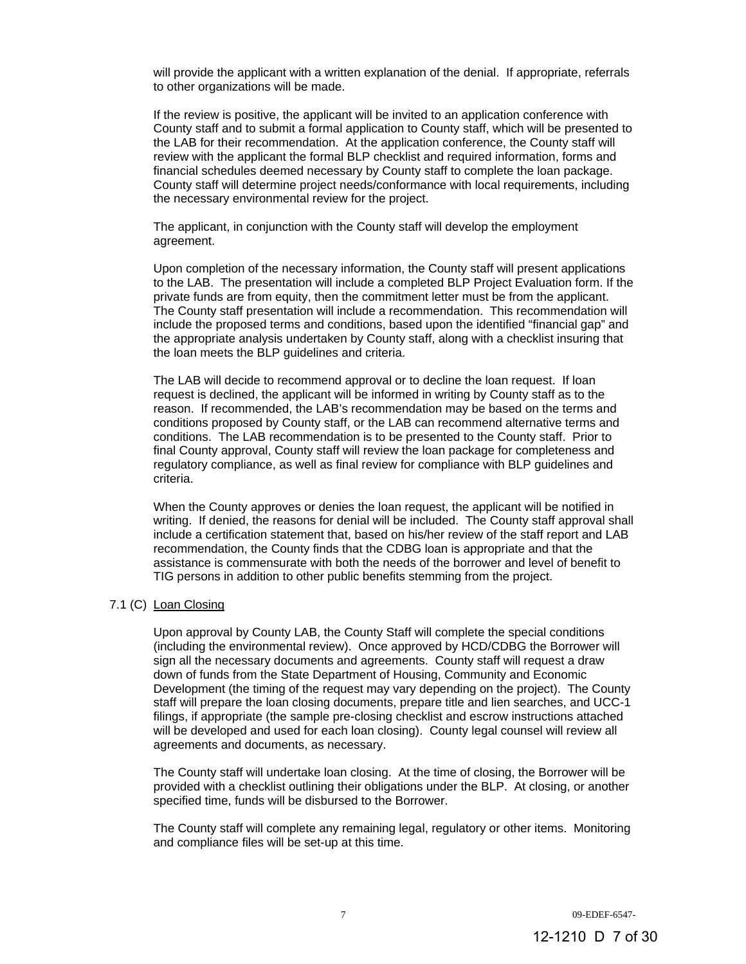will provide the applicant with a written explanation of the denial. If appropriate, referrals to other organizations will be made.

If the review is positive, the applicant will be invited to an application conference with County staff and to submit a formal application to County staff, which will be presented to the LAB for their recommendation. At the application conference, the County staff will review with the applicant the formal BLP checklist and required information, forms and financial schedules deemed necessary by County staff to complete the loan package. County staff will determine project needs/conformance with local requirements, including the necessary environmental review for the project.

The applicant, in conjunction with the County staff will develop the employment agreement.

Upon completion of the necessary information, the County staff will present applications to the LAB. The presentation will include a completed BLP Project Evaluation form. If the private funds are from equity, then the commitment letter must be from the applicant. The County staff presentation will include a recommendation. This recommendation will include the proposed terms and conditions, based upon the identified "financial gap" and the appropriate analysis undertaken by County staff, along with a checklist insuring that the loan meets the BLP guidelines and criteria.

The LAB will decide to recommend approval or to decline the loan request. If loan request is declined, the applicant will be informed in writing by County staff as to the reason. If recommended, the LAB's recommendation may be based on the terms and conditions proposed by County staff, or the LAB can recommend alternative terms and conditions. The LAB recommendation is to be presented to the County staff. Prior to final County approval, County staff will review the loan package for completeness and regulatory compliance, as well as final review for compliance with BLP guidelines and criteria.

When the County approves or denies the loan request, the applicant will be notified in writing. If denied, the reasons for denial will be included. The County staff approval shall include a certification statement that, based on his/her review of the staff report and LAB recommendation, the County finds that the CDBG loan is appropriate and that the assistance is commensurate with both the needs of the borrower and level of benefit to TIG persons in addition to other public benefits stemming from the project.

#### 7.1 (C) Loan Closing

Upon approval by County LAB, the County Staff will complete the special conditions (including the environmental review). Once approved by HCD/CDBG the Borrower will sign all the necessary documents and agreements. County staff will request a draw down of funds from the State Department of Housing, Community and Economic Development (the timing of the request may vary depending on the project). The County staff will prepare the loan closing documents, prepare title and lien searches, and UCC-1 filings, if appropriate (the sample pre-closing checklist and escrow instructions attached will be developed and used for each loan closing). County legal counsel will review all agreements and documents, as necessary.

The County staff will undertake loan closing. At the time of closing, the Borrower will be provided with a checklist outlining their obligations under the BLP. At closing, or another specified time, funds will be disbursed to the Borrower.

The County staff will complete any remaining legal, regulatory or other items. Monitoring and compliance files will be set-up at this time.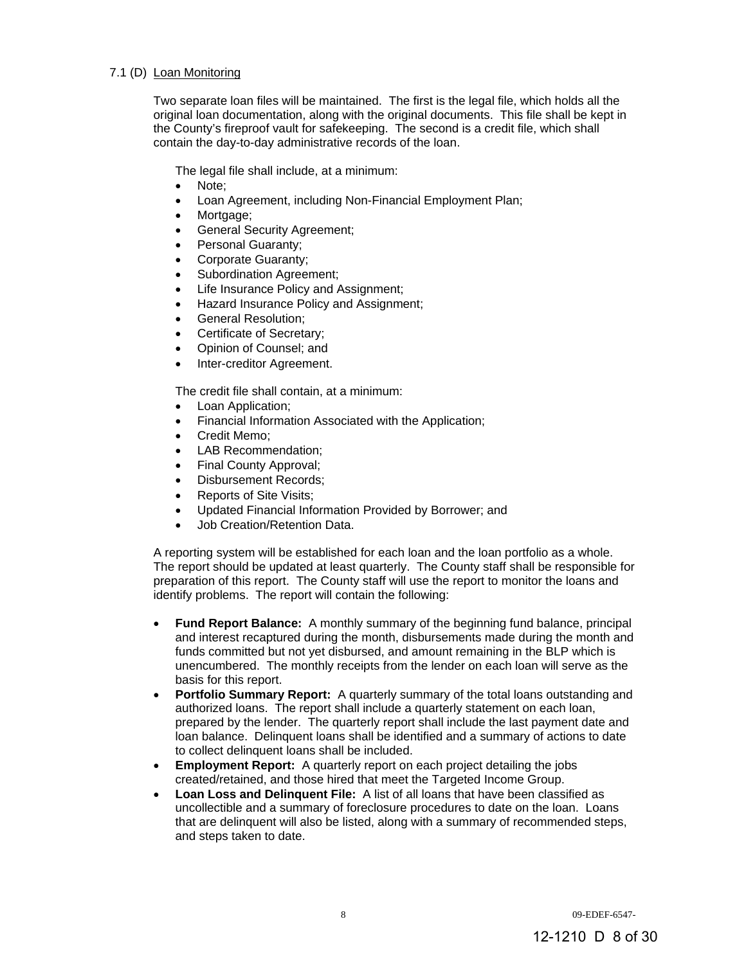## 7.1 (D) Loan Monitoring

Two separate loan files will be maintained. The first is the legal file, which holds all the original loan documentation, along with the original documents. This file shall be kept in the County's fireproof vault for safekeeping. The second is a credit file, which shall contain the day-to-day administrative records of the loan.

The legal file shall include, at a minimum:

- Note;
- Loan Agreement, including Non-Financial Employment Plan;
- Mortgage;
- General Security Agreement;
- Personal Guaranty;
- Corporate Guaranty;
- Subordination Agreement;
- Life Insurance Policy and Assignment;
- Hazard Insurance Policy and Assignment;
- General Resolution;
- Certificate of Secretary;
- Opinion of Counsel; and
- Inter-creditor Agreement.

The credit file shall contain, at a minimum:

- Loan Application;
- Financial Information Associated with the Application;
- Credit Memo;
- LAB Recommendation;
- Final County Approval;
- Disbursement Records;
- Reports of Site Visits;
- Updated Financial Information Provided by Borrower; and
- Job Creation/Retention Data.

A reporting system will be established for each loan and the loan portfolio as a whole. The report should be updated at least quarterly. The County staff shall be responsible for preparation of this report. The County staff will use the report to monitor the loans and identify problems. The report will contain the following:

- **Fund Report Balance:** A monthly summary of the beginning fund balance, principal and interest recaptured during the month, disbursements made during the month and funds committed but not yet disbursed, and amount remaining in the BLP which is unencumbered. The monthly receipts from the lender on each loan will serve as the basis for this report.
- **Portfolio Summary Report:** A quarterly summary of the total loans outstanding and authorized loans. The report shall include a quarterly statement on each loan, prepared by the lender. The quarterly report shall include the last payment date and loan balance. Delinquent loans shall be identified and a summary of actions to date to collect delinquent loans shall be included.
- **Employment Report:** A quarterly report on each project detailing the jobs created/retained, and those hired that meet the Targeted Income Group.
- **Loan Loss and Delinquent File:** A list of all loans that have been classified as uncollectible and a summary of foreclosure procedures to date on the loan. Loans that are delinquent will also be listed, along with a summary of recommended steps, and steps taken to date.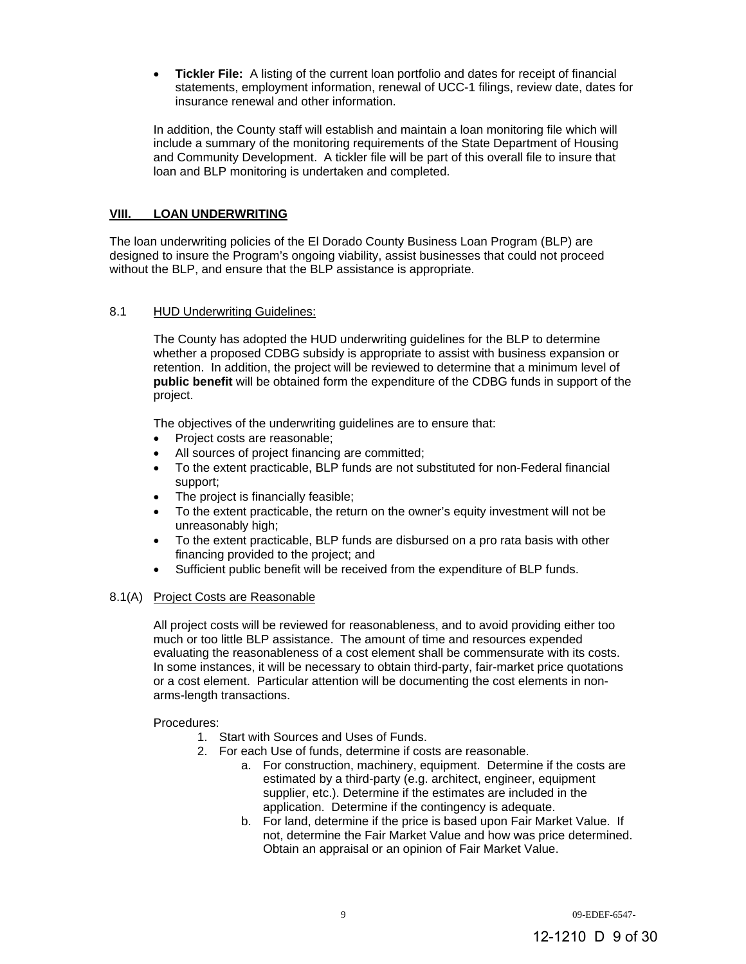**Tickler File:** A listing of the current loan portfolio and dates for receipt of financial statements, employment information, renewal of UCC-1 filings, review date, dates for insurance renewal and other information.

In addition, the County staff will establish and maintain a loan monitoring file which will include a summary of the monitoring requirements of the State Department of Housing and Community Development. A tickler file will be part of this overall file to insure that loan and BLP monitoring is undertaken and completed.

# **VIII. LOAN UNDERWRITING**

The loan underwriting policies of the El Dorado County Business Loan Program (BLP) are designed to insure the Program's ongoing viability, assist businesses that could not proceed without the BLP, and ensure that the BLP assistance is appropriate.

#### 8.1 HUD Underwriting Guidelines:

The County has adopted the HUD underwriting guidelines for the BLP to determine whether a proposed CDBG subsidy is appropriate to assist with business expansion or retention. In addition, the project will be reviewed to determine that a minimum level of **public benefit** will be obtained form the expenditure of the CDBG funds in support of the project.

The objectives of the underwriting guidelines are to ensure that:

- Project costs are reasonable;
- All sources of project financing are committed;
- To the extent practicable, BLP funds are not substituted for non-Federal financial support;
- The project is financially feasible;
- To the extent practicable, the return on the owner's equity investment will not be unreasonably high;
- To the extent practicable, BLP funds are disbursed on a pro rata basis with other financing provided to the project; and
- Sufficient public benefit will be received from the expenditure of BLP funds.

#### 8.1(A) Project Costs are Reasonable

All project costs will be reviewed for reasonableness, and to avoid providing either too much or too little BLP assistance. The amount of time and resources expended evaluating the reasonableness of a cost element shall be commensurate with its costs. In some instances, it will be necessary to obtain third-party, fair-market price quotations or a cost element. Particular attention will be documenting the cost elements in nonarms-length transactions.

Procedures:

- 1. Start with Sources and Uses of Funds.
- 2. For each Use of funds, determine if costs are reasonable.
	- a. For construction, machinery, equipment. Determine if the costs are estimated by a third-party (e.g. architect, engineer, equipment supplier, etc.). Determine if the estimates are included in the application. Determine if the contingency is adequate.
	- b. For land, determine if the price is based upon Fair Market Value. If not, determine the Fair Market Value and how was price determined. Obtain an appraisal or an opinion of Fair Market Value.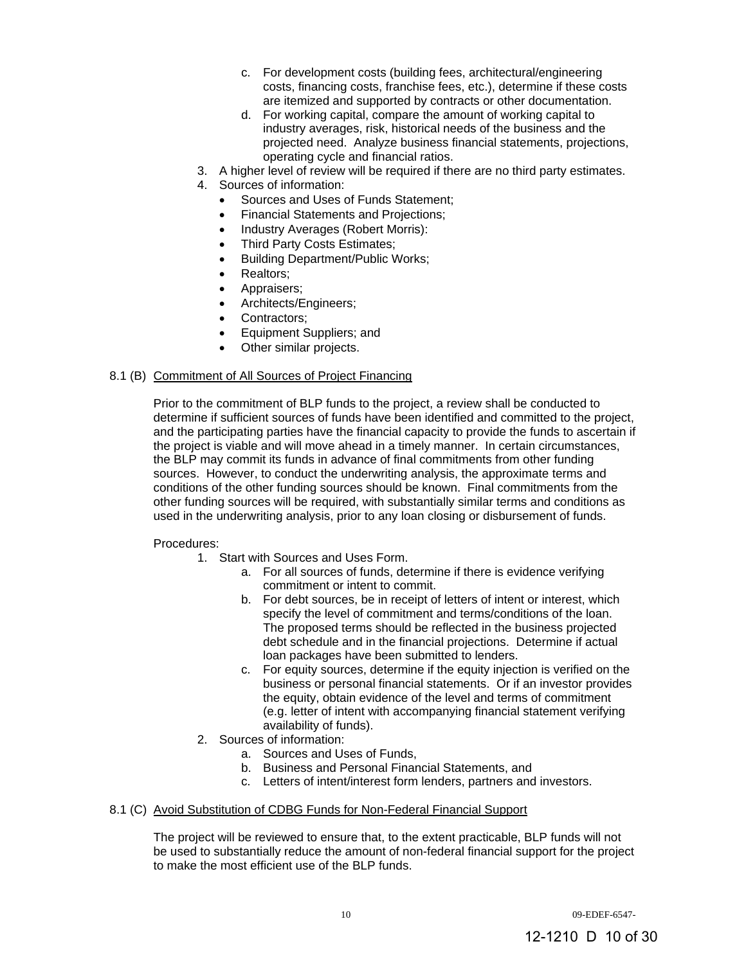- c. For development costs (building fees, architectural/engineering costs, financing costs, franchise fees, etc.), determine if these costs are itemized and supported by contracts or other documentation.
- d. For working capital, compare the amount of working capital to industry averages, risk, historical needs of the business and the projected need. Analyze business financial statements, projections, operating cycle and financial ratios.
- 3. A higher level of review will be required if there are no third party estimates.
- 4. Sources of information:
	- Sources and Uses of Funds Statement;
		- Financial Statements and Projections;
	- Industry Averages (Robert Morris):
	- Third Party Costs Estimates;
	- Building Department/Public Works;
	- Realtors;
	- Appraisers;
	- Architects/Engineers;
	- Contractors;
	- Equipment Suppliers; and
	- Other similar projects.

## 8.1 (B) Commitment of All Sources of Project Financing

Prior to the commitment of BLP funds to the project, a review shall be conducted to determine if sufficient sources of funds have been identified and committed to the project, and the participating parties have the financial capacity to provide the funds to ascertain if the project is viable and will move ahead in a timely manner. In certain circumstances, the BLP may commit its funds in advance of final commitments from other funding sources. However, to conduct the underwriting analysis, the approximate terms and conditions of the other funding sources should be known. Final commitments from the other funding sources will be required, with substantially similar terms and conditions as used in the underwriting analysis, prior to any loan closing or disbursement of funds.

## Procedures:

- 1. Start with Sources and Uses Form.
	- a. For all sources of funds, determine if there is evidence verifying commitment or intent to commit.
	- b. For debt sources, be in receipt of letters of intent or interest, which specify the level of commitment and terms/conditions of the loan. The proposed terms should be reflected in the business projected debt schedule and in the financial projections. Determine if actual loan packages have been submitted to lenders.
	- c. For equity sources, determine if the equity injection is verified on the business or personal financial statements. Or if an investor provides the equity, obtain evidence of the level and terms of commitment (e.g. letter of intent with accompanying financial statement verifying availability of funds).
- 2. Sources of information:
	- a. Sources and Uses of Funds,
	- b. Business and Personal Financial Statements, and
	- c. Letters of intent/interest form lenders, partners and investors.

## 8.1 (C) Avoid Substitution of CDBG Funds for Non-Federal Financial Support

The project will be reviewed to ensure that, to the extent practicable, BLP funds will not be used to substantially reduce the amount of non-federal financial support for the project to make the most efficient use of the BLP funds.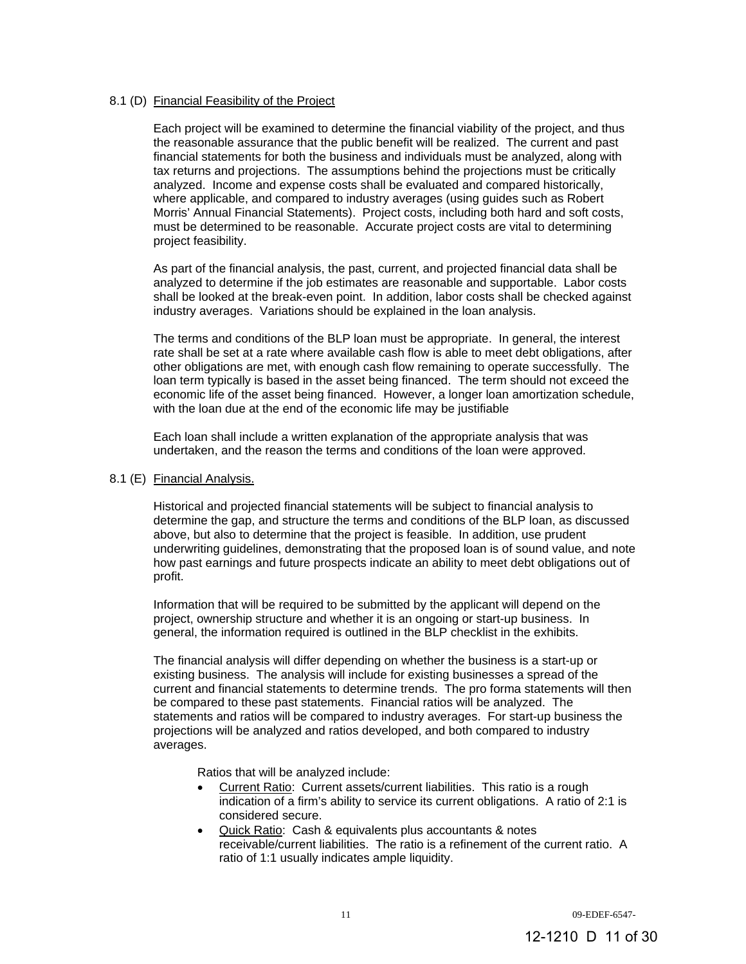## 8.1 (D) Financial Feasibility of the Project

Each project will be examined to determine the financial viability of the project, and thus the reasonable assurance that the public benefit will be realized. The current and past financial statements for both the business and individuals must be analyzed, along with tax returns and projections. The assumptions behind the projections must be critically analyzed. Income and expense costs shall be evaluated and compared historically, where applicable, and compared to industry averages (using guides such as Robert Morris' Annual Financial Statements). Project costs, including both hard and soft costs, must be determined to be reasonable. Accurate project costs are vital to determining project feasibility.

As part of the financial analysis, the past, current, and projected financial data shall be analyzed to determine if the job estimates are reasonable and supportable. Labor costs shall be looked at the break-even point. In addition, labor costs shall be checked against industry averages. Variations should be explained in the loan analysis.

The terms and conditions of the BLP loan must be appropriate. In general, the interest rate shall be set at a rate where available cash flow is able to meet debt obligations, after other obligations are met, with enough cash flow remaining to operate successfully. The loan term typically is based in the asset being financed. The term should not exceed the economic life of the asset being financed. However, a longer loan amortization schedule, with the loan due at the end of the economic life may be justifiable

Each loan shall include a written explanation of the appropriate analysis that was undertaken, and the reason the terms and conditions of the loan were approved.

## 8.1 (E) Financial Analysis.

Historical and projected financial statements will be subject to financial analysis to determine the gap, and structure the terms and conditions of the BLP loan, as discussed above, but also to determine that the project is feasible. In addition, use prudent underwriting guidelines, demonstrating that the proposed loan is of sound value, and note how past earnings and future prospects indicate an ability to meet debt obligations out of profit.

Information that will be required to be submitted by the applicant will depend on the project, ownership structure and whether it is an ongoing or start-up business. In general, the information required is outlined in the BLP checklist in the exhibits.

The financial analysis will differ depending on whether the business is a start-up or existing business. The analysis will include for existing businesses a spread of the current and financial statements to determine trends. The pro forma statements will then be compared to these past statements. Financial ratios will be analyzed. The statements and ratios will be compared to industry averages. For start-up business the projections will be analyzed and ratios developed, and both compared to industry averages.

Ratios that will be analyzed include:

- Current Ratio: Current assets/current liabilities. This ratio is a rough indication of a firm's ability to service its current obligations. A ratio of 2:1 is considered secure.
- Quick Ratio: Cash & equivalents plus accountants & notes receivable/current liabilities. The ratio is a refinement of the current ratio. A ratio of 1:1 usually indicates ample liquidity.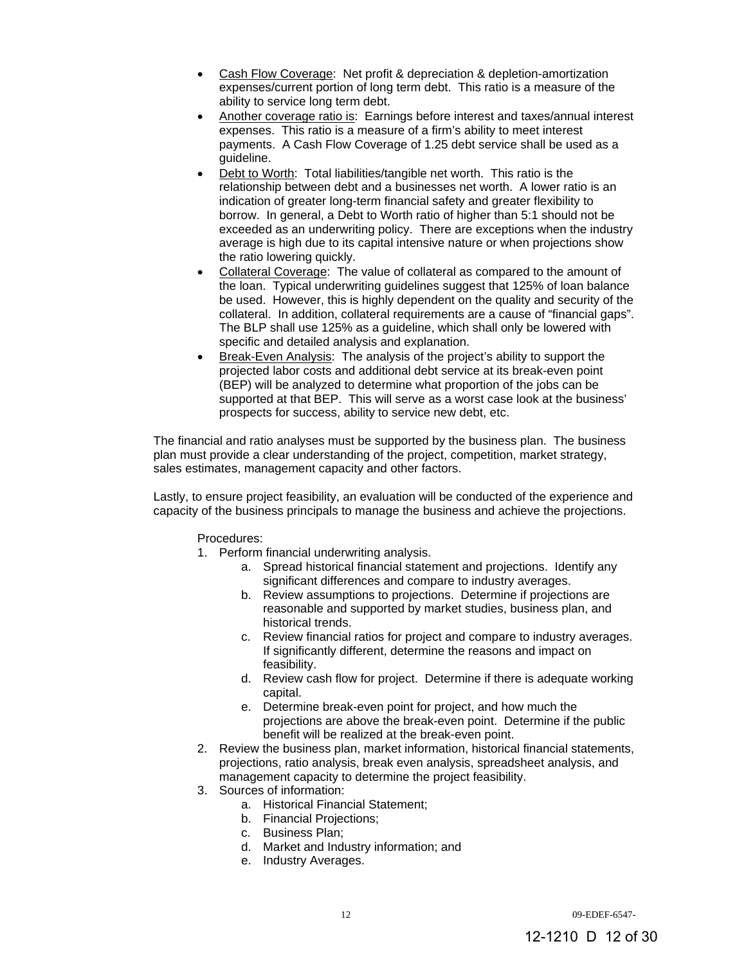- Cash Flow Coverage: Net profit & depreciation & depletion-amortization expenses/current portion of long term debt. This ratio is a measure of the ability to service long term debt.
- Another coverage ratio is: Earnings before interest and taxes/annual interest expenses. This ratio is a measure of a firm's ability to meet interest payments. A Cash Flow Coverage of 1.25 debt service shall be used as a guideline.
- Debt to Worth: Total liabilities/tangible net worth. This ratio is the relationship between debt and a businesses net worth. A lower ratio is an indication of greater long-term financial safety and greater flexibility to borrow. In general, a Debt to Worth ratio of higher than 5:1 should not be exceeded as an underwriting policy. There are exceptions when the industry average is high due to its capital intensive nature or when projections show the ratio lowering quickly.
- Collateral Coverage: The value of collateral as compared to the amount of the loan. Typical underwriting guidelines suggest that 125% of loan balance be used. However, this is highly dependent on the quality and security of the collateral. In addition, collateral requirements are a cause of "financial gaps". The BLP shall use 125% as a guideline, which shall only be lowered with specific and detailed analysis and explanation.
- Break-Even Analysis: The analysis of the project's ability to support the projected labor costs and additional debt service at its break-even point (BEP) will be analyzed to determine what proportion of the jobs can be supported at that BEP. This will serve as a worst case look at the business' prospects for success, ability to service new debt, etc.

The financial and ratio analyses must be supported by the business plan. The business plan must provide a clear understanding of the project, competition, market strategy, sales estimates, management capacity and other factors.

Lastly, to ensure project feasibility, an evaluation will be conducted of the experience and capacity of the business principals to manage the business and achieve the projections.

Procedures:

- 1. Perform financial underwriting analysis.
	- a. Spread historical financial statement and projections. Identify any significant differences and compare to industry averages.
	- b. Review assumptions to projections. Determine if projections are reasonable and supported by market studies, business plan, and historical trends.
	- c. Review financial ratios for project and compare to industry averages. If significantly different, determine the reasons and impact on feasibility.
	- d. Review cash flow for project. Determine if there is adequate working capital.
	- e. Determine break-even point for project, and how much the projections are above the break-even point. Determine if the public benefit will be realized at the break-even point.
- 2. Review the business plan, market information, historical financial statements, projections, ratio analysis, break even analysis, spreadsheet analysis, and management capacity to determine the project feasibility.
- 3. Sources of information:
	- a. Historical Financial Statement;
	- b. Financial Projections;
	- c. Business Plan;
	- d. Market and Industry information; and
	- e. Industry Averages.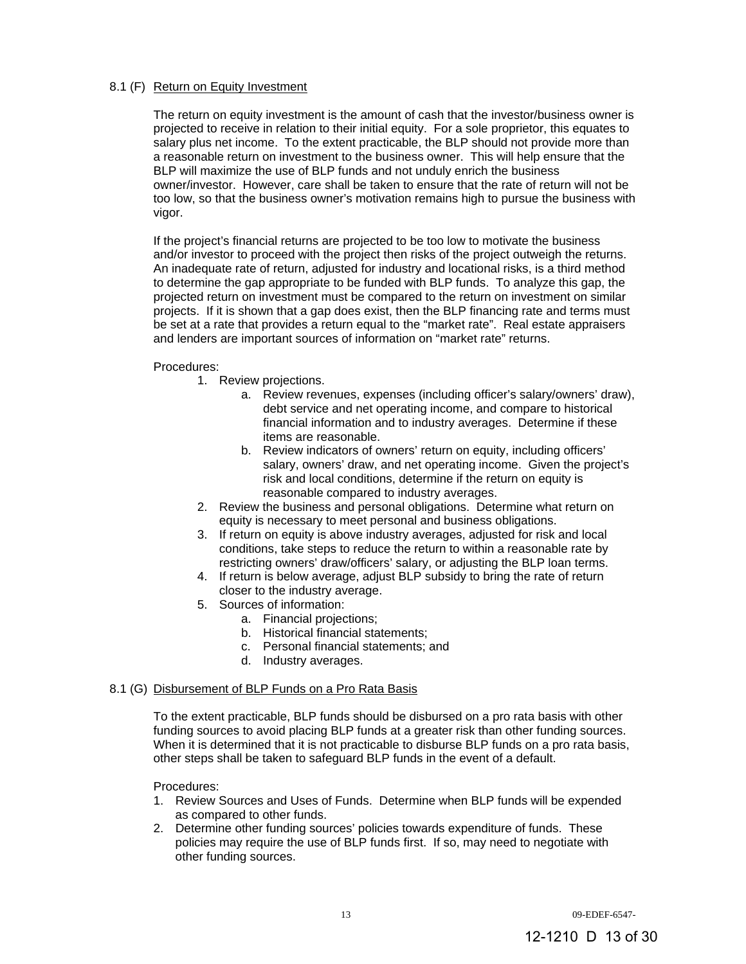## 8.1 (F) Return on Equity Investment

The return on equity investment is the amount of cash that the investor/business owner is projected to receive in relation to their initial equity. For a sole proprietor, this equates to salary plus net income. To the extent practicable, the BLP should not provide more than a reasonable return on investment to the business owner. This will help ensure that the BLP will maximize the use of BLP funds and not unduly enrich the business owner/investor. However, care shall be taken to ensure that the rate of return will not be too low, so that the business owner's motivation remains high to pursue the business with vigor.

If the project's financial returns are projected to be too low to motivate the business and/or investor to proceed with the project then risks of the project outweigh the returns. An inadequate rate of return, adjusted for industry and locational risks, is a third method to determine the gap appropriate to be funded with BLP funds. To analyze this gap, the projected return on investment must be compared to the return on investment on similar projects. If it is shown that a gap does exist, then the BLP financing rate and terms must be set at a rate that provides a return equal to the "market rate". Real estate appraisers and lenders are important sources of information on "market rate" returns.

## Procedures:

- 1. Review projections.
	- a. Review revenues, expenses (including officer's salary/owners' draw), debt service and net operating income, and compare to historical financial information and to industry averages. Determine if these items are reasonable.
	- b. Review indicators of owners' return on equity, including officers' salary, owners' draw, and net operating income. Given the project's risk and local conditions, determine if the return on equity is reasonable compared to industry averages.
- 2. Review the business and personal obligations. Determine what return on equity is necessary to meet personal and business obligations.
- 3. If return on equity is above industry averages, adjusted for risk and local conditions, take steps to reduce the return to within a reasonable rate by restricting owners' draw/officers' salary, or adjusting the BLP loan terms.
- 4. If return is below average, adjust BLP subsidy to bring the rate of return closer to the industry average.
- 5. Sources of information:
	- a. Financial projections;
	- b. Historical financial statements;
	- c. Personal financial statements; and
	- d. Industry averages.

## 8.1 (G) Disbursement of BLP Funds on a Pro Rata Basis

To the extent practicable, BLP funds should be disbursed on a pro rata basis with other funding sources to avoid placing BLP funds at a greater risk than other funding sources. When it is determined that it is not practicable to disburse BLP funds on a pro rata basis, other steps shall be taken to safeguard BLP funds in the event of a default.

## Procedures:

- 1. Review Sources and Uses of Funds. Determine when BLP funds will be expended as compared to other funds.
- 2. Determine other funding sources' policies towards expenditure of funds. These policies may require the use of BLP funds first. If so, may need to negotiate with other funding sources.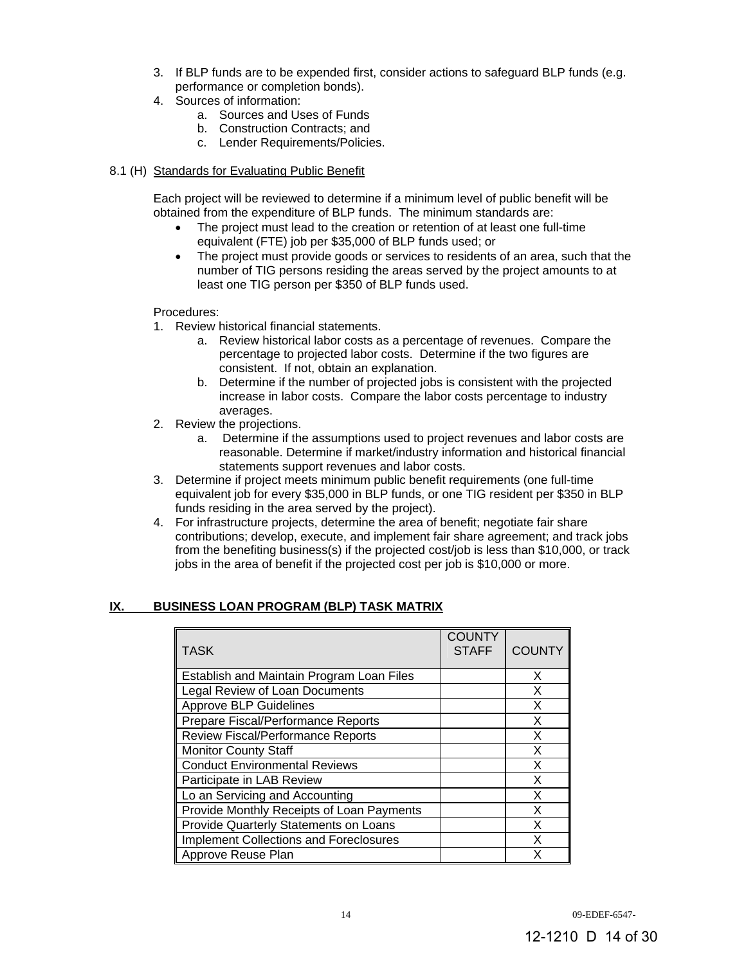- 3. If BLP funds are to be expended first, consider actions to safeguard BLP funds (e.g. performance or completion bonds).
- 4. Sources of information:
	- a. Sources and Uses of Funds
	- b. Construction Contracts; and
	- c. Lender Requirements/Policies.
- 8.1 (H) Standards for Evaluating Public Benefit

Each project will be reviewed to determine if a minimum level of public benefit will be obtained from the expenditure of BLP funds. The minimum standards are:

- The project must lead to the creation or retention of at least one full-time equivalent (FTE) job per \$35,000 of BLP funds used; or
- The project must provide goods or services to residents of an area, such that the number of TIG persons residing the areas served by the project amounts to at least one TIG person per \$350 of BLP funds used.

Procedures:

- 1. Review historical financial statements.
	- a. Review historical labor costs as a percentage of revenues. Compare the percentage to projected labor costs. Determine if the two figures are consistent. If not, obtain an explanation.
	- b. Determine if the number of projected jobs is consistent with the projected increase in labor costs. Compare the labor costs percentage to industry averages.
- 2. Review the projections.
	- a. Determine if the assumptions used to project revenues and labor costs are reasonable. Determine if market/industry information and historical financial statements support revenues and labor costs.
- 3. Determine if project meets minimum public benefit requirements (one full-time equivalent job for every \$35,000 in BLP funds, or one TIG resident per \$350 in BLP funds residing in the area served by the project).
- 4. For infrastructure projects, determine the area of benefit; negotiate fair share contributions; develop, execute, and implement fair share agreement; and track jobs from the benefiting business(s) if the projected cost/job is less than \$10,000, or track jobs in the area of benefit if the projected cost per job is \$10,000 or more.

# **IX. BUSINESS LOAN PROGRAM (BLP) TASK MATRIX**

| <b>TASK</b>                                   | <b>COUNTY</b><br><b>STAFF</b> | <b>COUNTY</b> |
|-----------------------------------------------|-------------------------------|---------------|
| Establish and Maintain Program Loan Files     |                               | X             |
| Legal Review of Loan Documents                |                               | X             |
| <b>Approve BLP Guidelines</b>                 |                               | X             |
| Prepare Fiscal/Performance Reports            |                               | X             |
| <b>Review Fiscal/Performance Reports</b>      |                               | X             |
| <b>Monitor County Staff</b>                   |                               | X             |
| <b>Conduct Environmental Reviews</b>          |                               | X             |
| Participate in LAB Review                     |                               | X             |
| Lo an Servicing and Accounting                |                               | X             |
| Provide Monthly Receipts of Loan Payments     |                               | X             |
| Provide Quarterly Statements on Loans         |                               | X             |
| <b>Implement Collections and Foreclosures</b> |                               | Χ             |
| Approve Reuse Plan                            |                               | x             |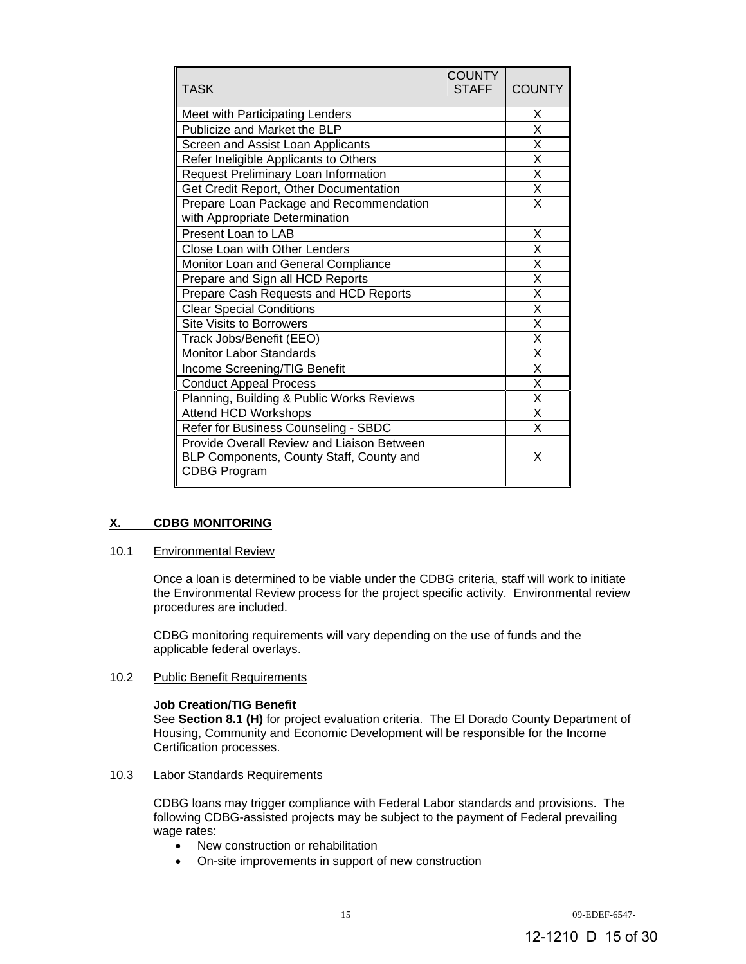| <b>TASK</b>                                                                                                   | <b>COUNTY</b><br><b>STAFF</b> | <b>COUNTY</b>           |
|---------------------------------------------------------------------------------------------------------------|-------------------------------|-------------------------|
| Meet with Participating Lenders                                                                               |                               | X                       |
| Publicize and Market the BLP                                                                                  |                               | X                       |
| Screen and Assist Loan Applicants                                                                             |                               | X                       |
| Refer Ineligible Applicants to Others                                                                         |                               | X                       |
| Request Preliminary Loan Information                                                                          |                               | X                       |
| Get Credit Report, Other Documentation                                                                        |                               | X                       |
| Prepare Loan Package and Recommendation<br>with Appropriate Determination                                     |                               | $\overline{\mathsf{x}}$ |
| Present Loan to LAB                                                                                           |                               | X                       |
| Close Loan with Other Lenders                                                                                 |                               | X                       |
| Monitor Loan and General Compliance                                                                           |                               | X                       |
| Prepare and Sign all HCD Reports                                                                              |                               | X                       |
| Prepare Cash Requests and HCD Reports                                                                         |                               | $\overline{\mathsf{x}}$ |
| <b>Clear Special Conditions</b>                                                                               |                               | Χ                       |
| <b>Site Visits to Borrowers</b>                                                                               |                               | X                       |
| Track Jobs/Benefit (EEO)                                                                                      |                               | $\overline{\mathsf{x}}$ |
| <b>Monitor Labor Standards</b>                                                                                |                               | X                       |
| Income Screening/TIG Benefit                                                                                  |                               | Χ                       |
| <b>Conduct Appeal Process</b>                                                                                 |                               | $\overline{\mathsf{x}}$ |
| Planning, Building & Public Works Reviews                                                                     |                               | X                       |
| <b>Attend HCD Workshops</b>                                                                                   |                               | Χ                       |
| Refer for Business Counseling - SBDC                                                                          |                               | $\overline{\mathsf{x}}$ |
| Provide Overall Review and Liaison Between<br>BLP Components, County Staff, County and<br><b>CDBG Program</b> |                               | X                       |

# **X. CDBG MONITORING**

## 10.1 Environmental Review

Once a loan is determined to be viable under the CDBG criteria, staff will work to initiate the Environmental Review process for the project specific activity. Environmental review procedures are included.

CDBG monitoring requirements will vary depending on the use of funds and the applicable federal overlays.

## 10.2 Public Benefit Requirements

#### **Job Creation/TIG Benefit**

See **Section 8.1 (H)** for project evaluation criteria. The El Dorado County Department of Housing, Community and Economic Development will be responsible for the Income Certification processes.

#### 10.3 Labor Standards Requirements

CDBG loans may trigger compliance with Federal Labor standards and provisions. The following CDBG-assisted projects may be subject to the payment of Federal prevailing wage rates:

- New construction or rehabilitation
- On-site improvements in support of new construction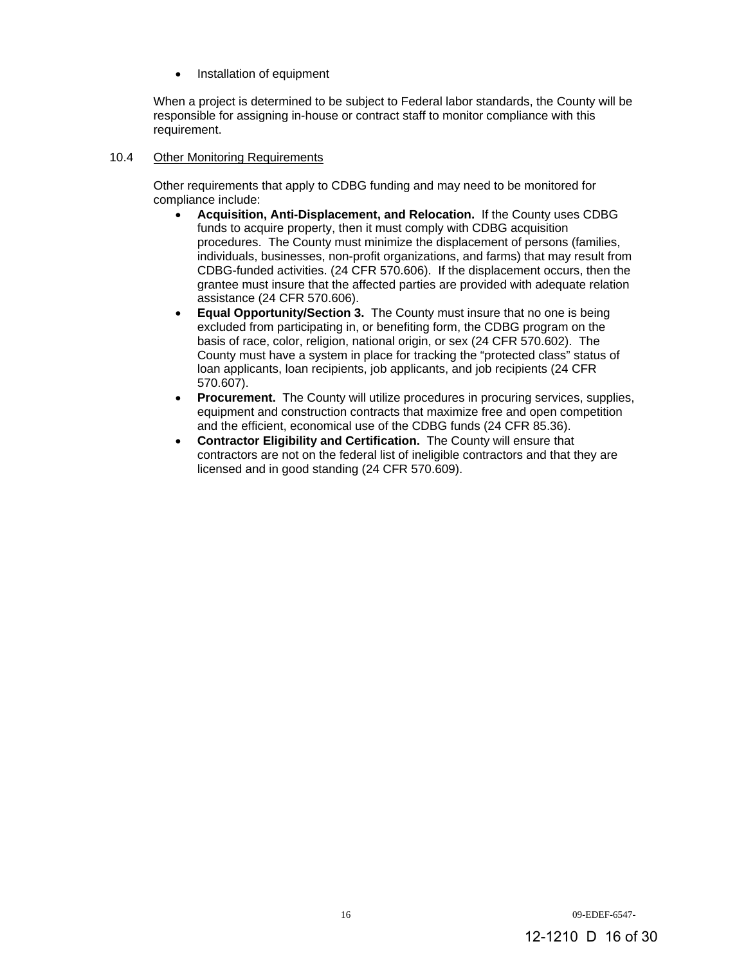Installation of equipment

When a project is determined to be subject to Federal labor standards, the County will be responsible for assigning in-house or contract staff to monitor compliance with this requirement.

## 10.4 Other Monitoring Requirements

Other requirements that apply to CDBG funding and may need to be monitored for compliance include:

- **Acquisition, Anti-Displacement, and Relocation.** If the County uses CDBG funds to acquire property, then it must comply with CDBG acquisition procedures. The County must minimize the displacement of persons (families, individuals, businesses, non-profit organizations, and farms) that may result from CDBG-funded activities. (24 CFR 570.606). If the displacement occurs, then the grantee must insure that the affected parties are provided with adequate relation assistance (24 CFR 570.606).
- **Equal Opportunity/Section 3.** The County must insure that no one is being excluded from participating in, or benefiting form, the CDBG program on the basis of race, color, religion, national origin, or sex (24 CFR 570.602). The County must have a system in place for tracking the "protected class" status of loan applicants, loan recipients, job applicants, and job recipients (24 CFR 570.607).
- **Procurement.** The County will utilize procedures in procuring services, supplies, equipment and construction contracts that maximize free and open competition and the efficient, economical use of the CDBG funds (24 CFR 85.36).
- **Contractor Eligibility and Certification.** The County will ensure that contractors are not on the federal list of ineligible contractors and that they are licensed and in good standing (24 CFR 570.609).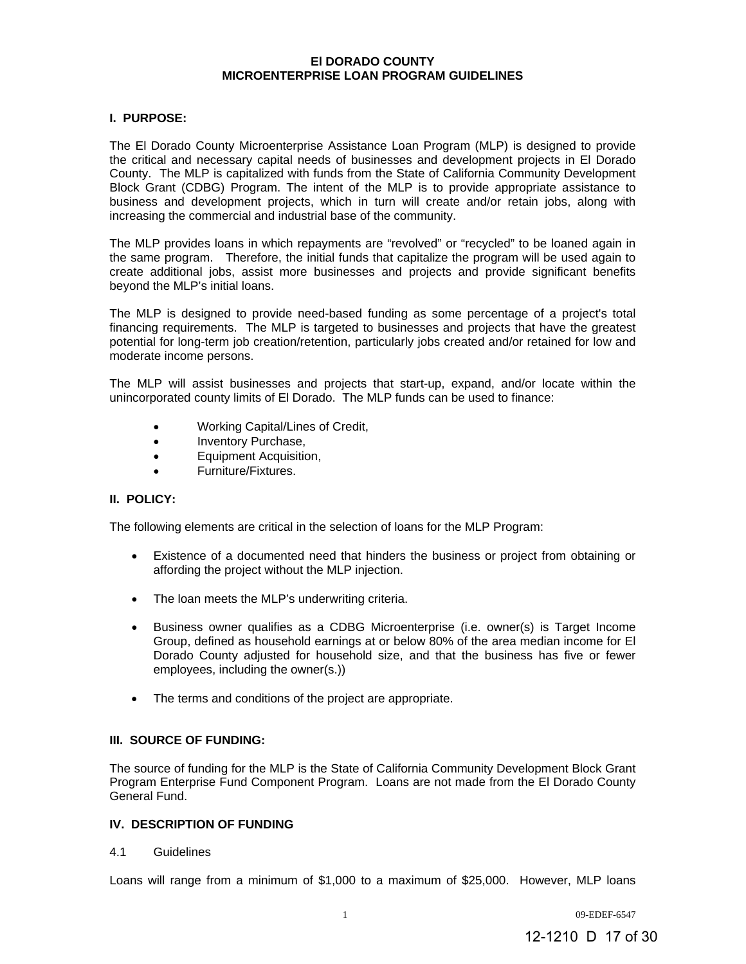#### **El DORADO COUNTY MICROENTERPRISE LOAN PROGRAM GUIDELINES**

## **I. PURPOSE:**

The El Dorado County Microenterprise Assistance Loan Program (MLP) is designed to provide the critical and necessary capital needs of businesses and development projects in El Dorado County. The MLP is capitalized with funds from the State of California Community Development Block Grant (CDBG) Program. The intent of the MLP is to provide appropriate assistance to business and development projects, which in turn will create and/or retain jobs, along with increasing the commercial and industrial base of the community.

The MLP provides loans in which repayments are "revolved" or "recycled" to be loaned again in the same program. Therefore, the initial funds that capitalize the program will be used again to create additional jobs, assist more businesses and projects and provide significant benefits beyond the MLP's initial loans.

The MLP is designed to provide need-based funding as some percentage of a project's total financing requirements. The MLP is targeted to businesses and projects that have the greatest potential for long-term job creation/retention, particularly jobs created and/or retained for low and moderate income persons.

The MLP will assist businesses and projects that start-up, expand, and/or locate within the unincorporated county limits of El Dorado. The MLP funds can be used to finance:

- Working Capital/Lines of Credit,
- Inventory Purchase,
- Equipment Acquisition,
- Furniture/Fixtures.

# **II. POLICY:**

The following elements are critical in the selection of loans for the MLP Program:

- Existence of a documented need that hinders the business or project from obtaining or affording the project without the MLP injection.
- The loan meets the MLP's underwriting criteria.
- Business owner qualifies as a CDBG Microenterprise (i.e. owner(s) is Target Income Group, defined as household earnings at or below 80% of the area median income for El Dorado County adjusted for household size, and that the business has five or fewer employees, including the owner(s.))
- The terms and conditions of the project are appropriate.

## **III. SOURCE OF FUNDING:**

The source of funding for the MLP is the State of California Community Development Block Grant Program Enterprise Fund Component Program. Loans are not made from the El Dorado County General Fund.

# **IV. DESCRIPTION OF FUNDING**

## 4.1 Guidelines

Loans will range from a minimum of \$1,000 to a maximum of \$25,000. However, MLP loans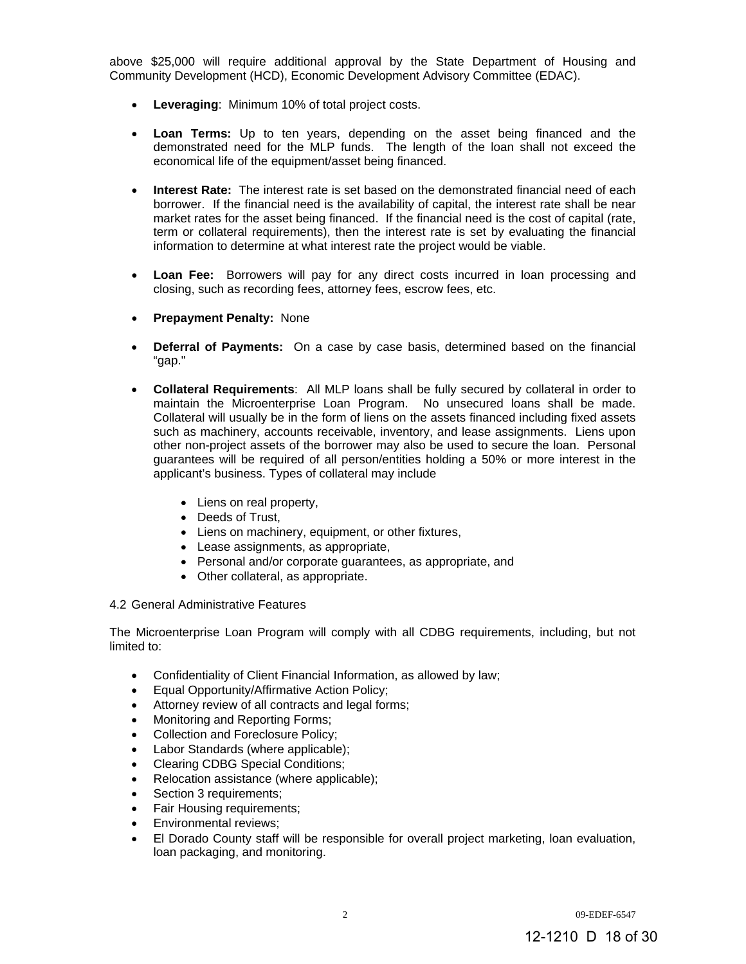above \$25,000 will require additional approval by the State Department of Housing and Community Development (HCD), Economic Development Advisory Committee (EDAC).

- **Leveraging**: Minimum 10% of total project costs.
- **Loan Terms:** Up to ten years, depending on the asset being financed and the demonstrated need for the MLP funds. The length of the loan shall not exceed the economical life of the equipment/asset being financed.
- **Interest Rate:** The interest rate is set based on the demonstrated financial need of each borrower. If the financial need is the availability of capital, the interest rate shall be near market rates for the asset being financed. If the financial need is the cost of capital (rate, term or collateral requirements), then the interest rate is set by evaluating the financial information to determine at what interest rate the project would be viable.
- **Loan Fee:** Borrowers will pay for any direct costs incurred in loan processing and closing, such as recording fees, attorney fees, escrow fees, etc.
- **Prepayment Penalty:** None
- **Deferral of Payments:** On a case by case basis, determined based on the financial "gap."
- **Collateral Requirements**: All MLP loans shall be fully secured by collateral in order to maintain the Microenterprise Loan Program. No unsecured loans shall be made. Collateral will usually be in the form of liens on the assets financed including fixed assets such as machinery, accounts receivable, inventory, and lease assignments. Liens upon other non-project assets of the borrower may also be used to secure the loan. Personal guarantees will be required of all person/entities holding a 50% or more interest in the applicant's business. Types of collateral may include
	- Liens on real property,
	- Deeds of Trust.
	- Liens on machinery, equipment, or other fixtures,
	- Lease assignments, as appropriate,
	- Personal and/or corporate guarantees, as appropriate, and
	- Other collateral, as appropriate.

## 4.2 General Administrative Features

The Microenterprise Loan Program will comply with all CDBG requirements, including, but not limited to:

- Confidentiality of Client Financial Information, as allowed by law;
- Equal Opportunity/Affirmative Action Policy;
- Attorney review of all contracts and legal forms;
- Monitoring and Reporting Forms;
- Collection and Foreclosure Policy;
- Labor Standards (where applicable);
- Clearing CDBG Special Conditions;
- Relocation assistance (where applicable);
- Section 3 requirements;
- Fair Housing requirements;
- Environmental reviews;
- El Dorado County staff will be responsible for overall project marketing, loan evaluation, loan packaging, and monitoring.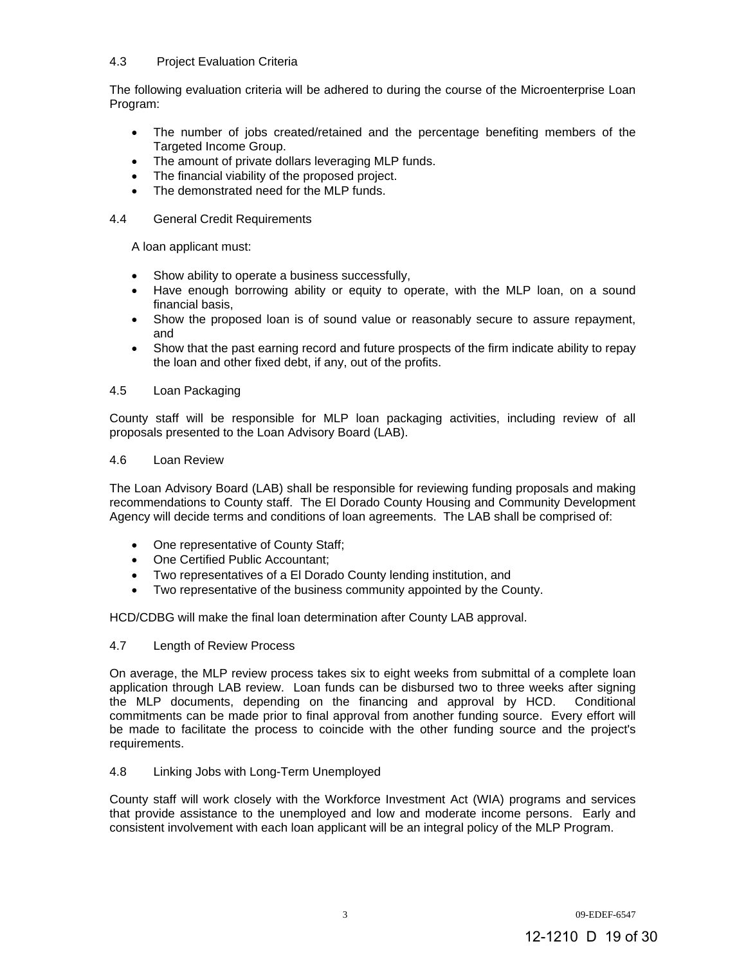## 4.3 Project Evaluation Criteria

The following evaluation criteria will be adhered to during the course of the Microenterprise Loan Program:

- The number of jobs created/retained and the percentage benefiting members of the Targeted Income Group.
- The amount of private dollars leveraging MLP funds.
- The financial viability of the proposed project.
- The demonstrated need for the MLP funds.

## 4.4 General Credit Requirements

A loan applicant must:

- Show ability to operate a business successfully,
- Have enough borrowing ability or equity to operate, with the MLP loan, on a sound financial basis,
- Show the proposed loan is of sound value or reasonably secure to assure repayment, and
- Show that the past earning record and future prospects of the firm indicate ability to repay the loan and other fixed debt, if any, out of the profits.

#### 4.5 Loan Packaging

County staff will be responsible for MLP loan packaging activities, including review of all proposals presented to the Loan Advisory Board (LAB).

#### 4.6 Loan Review

The Loan Advisory Board (LAB) shall be responsible for reviewing funding proposals and making recommendations to County staff. The El Dorado County Housing and Community Development Agency will decide terms and conditions of loan agreements. The LAB shall be comprised of:

- One representative of County Staff;
- One Certified Public Accountant:
- Two representatives of a El Dorado County lending institution, and
- Two representative of the business community appointed by the County.

HCD/CDBG will make the final loan determination after County LAB approval.

## 4.7 Length of Review Process

On average, the MLP review process takes six to eight weeks from submittal of a complete loan application through LAB review. Loan funds can be disbursed two to three weeks after signing the MLP documents, depending on the financing and approval by HCD. Conditional commitments can be made prior to final approval from another funding source. Every effort will be made to facilitate the process to coincide with the other funding source and the project's requirements.

## 4.8 Linking Jobs with Long-Term Unemployed

County staff will work closely with the Workforce Investment Act (WIA) programs and services that provide assistance to the unemployed and low and moderate income persons. Early and consistent involvement with each loan applicant will be an integral policy of the MLP Program.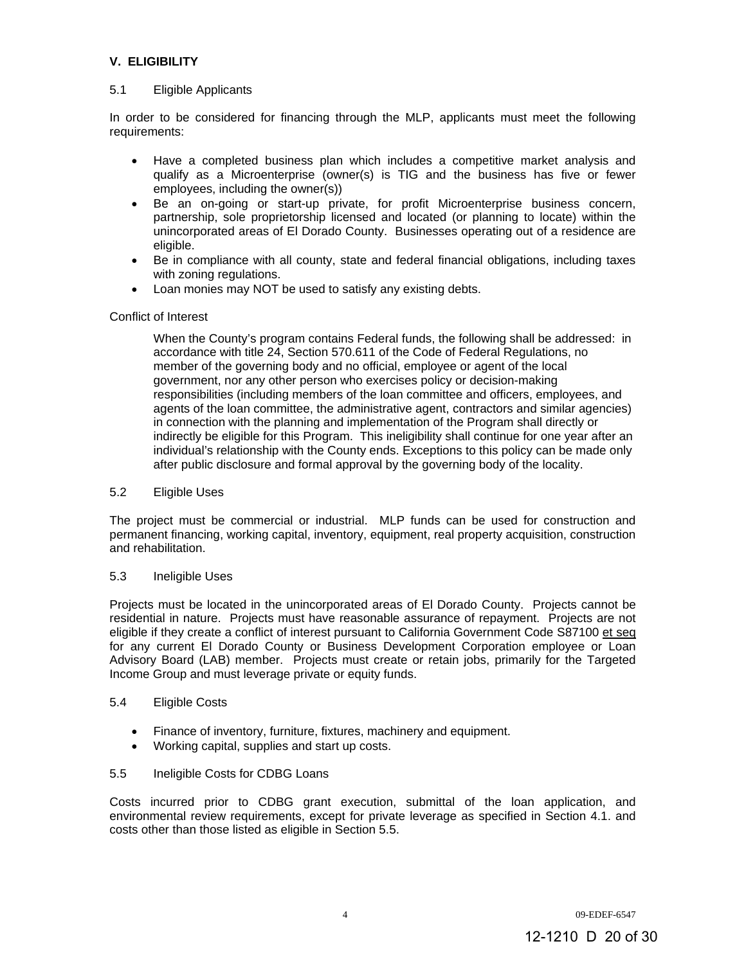# **V. ELIGIBILITY**

## 5.1 Eligible Applicants

In order to be considered for financing through the MLP, applicants must meet the following requirements:

- Have a completed business plan which includes a competitive market analysis and qualify as a Microenterprise (owner(s) is TIG and the business has five or fewer employees, including the owner(s))
- Be an on-going or start-up private, for profit Microenterprise business concern, partnership, sole proprietorship licensed and located (or planning to locate) within the unincorporated areas of El Dorado County. Businesses operating out of a residence are eligible.
- Be in compliance with all county, state and federal financial obligations, including taxes with zoning regulations.
- Loan monies may NOT be used to satisfy any existing debts.

## Conflict of Interest

When the County's program contains Federal funds, the following shall be addressed: in accordance with title 24, Section 570.611 of the Code of Federal Regulations, no member of the governing body and no official, employee or agent of the local government, nor any other person who exercises policy or decision-making responsibilities (including members of the loan committee and officers, employees, and agents of the loan committee, the administrative agent, contractors and similar agencies) in connection with the planning and implementation of the Program shall directly or indirectly be eligible for this Program. This ineligibility shall continue for one year after an individual's relationship with the County ends. Exceptions to this policy can be made only after public disclosure and formal approval by the governing body of the locality.

## 5.2 Eligible Uses

The project must be commercial or industrial. MLP funds can be used for construction and permanent financing, working capital, inventory, equipment, real property acquisition, construction and rehabilitation.

## 5.3 Ineligible Uses

Projects must be located in the unincorporated areas of El Dorado County. Projects cannot be residential in nature. Projects must have reasonable assurance of repayment. Projects are not eligible if they create a conflict of interest pursuant to California Government Code S87100 et seq for any current El Dorado County or Business Development Corporation employee or Loan Advisory Board (LAB) member. Projects must create or retain jobs, primarily for the Targeted Income Group and must leverage private or equity funds.

## 5.4 Eligible Costs

- Finance of inventory, furniture, fixtures, machinery and equipment.
- Working capital, supplies and start up costs.

# 5.5 Ineligible Costs for CDBG Loans

Costs incurred prior to CDBG grant execution, submittal of the loan application, and environmental review requirements, except for private leverage as specified in Section 4.1. and costs other than those listed as eligible in Section 5.5.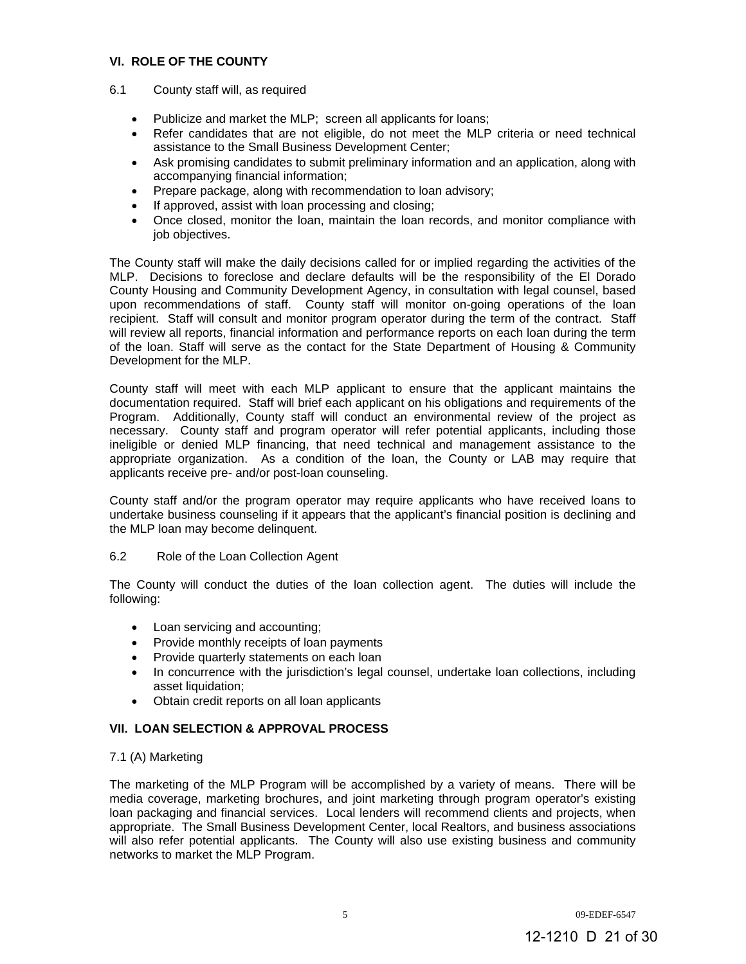## **VI. ROLE OF THE COUNTY**

- 6.1 County staff will, as required
	- Publicize and market the MLP; screen all applicants for loans;
	- Refer candidates that are not eligible, do not meet the MLP criteria or need technical assistance to the Small Business Development Center;
	- Ask promising candidates to submit preliminary information and an application, along with accompanying financial information;
	- Prepare package, along with recommendation to loan advisory;
	- If approved, assist with loan processing and closing;
	- Once closed, monitor the loan, maintain the loan records, and monitor compliance with job objectives.

The County staff will make the daily decisions called for or implied regarding the activities of the MLP. Decisions to foreclose and declare defaults will be the responsibility of the El Dorado County Housing and Community Development Agency, in consultation with legal counsel, based upon recommendations of staff. County staff will monitor on-going operations of the loan recipient. Staff will consult and monitor program operator during the term of the contract. Staff will review all reports, financial information and performance reports on each loan during the term of the loan. Staff will serve as the contact for the State Department of Housing & Community Development for the MLP.

County staff will meet with each MLP applicant to ensure that the applicant maintains the documentation required. Staff will brief each applicant on his obligations and requirements of the Program. Additionally, County staff will conduct an environmental review of the project as necessary. County staff and program operator will refer potential applicants, including those ineligible or denied MLP financing, that need technical and management assistance to the appropriate organization. As a condition of the loan, the County or LAB may require that applicants receive pre- and/or post-loan counseling.

County staff and/or the program operator may require applicants who have received loans to undertake business counseling if it appears that the applicant's financial position is declining and the MLP loan may become delinquent.

## 6.2 Role of the Loan Collection Agent

The County will conduct the duties of the loan collection agent. The duties will include the following:

- Loan servicing and accounting;
- Provide monthly receipts of loan payments
- Provide quarterly statements on each loan
- In concurrence with the jurisdiction's legal counsel, undertake loan collections, including asset liquidation;
- Obtain credit reports on all loan applicants

## **VII. LOAN SELECTION & APPROVAL PROCESS**

## 7.1 (A) Marketing

The marketing of the MLP Program will be accomplished by a variety of means. There will be media coverage, marketing brochures, and joint marketing through program operator's existing loan packaging and financial services. Local lenders will recommend clients and projects, when appropriate. The Small Business Development Center, local Realtors, and business associations will also refer potential applicants. The County will also use existing business and community networks to market the MLP Program.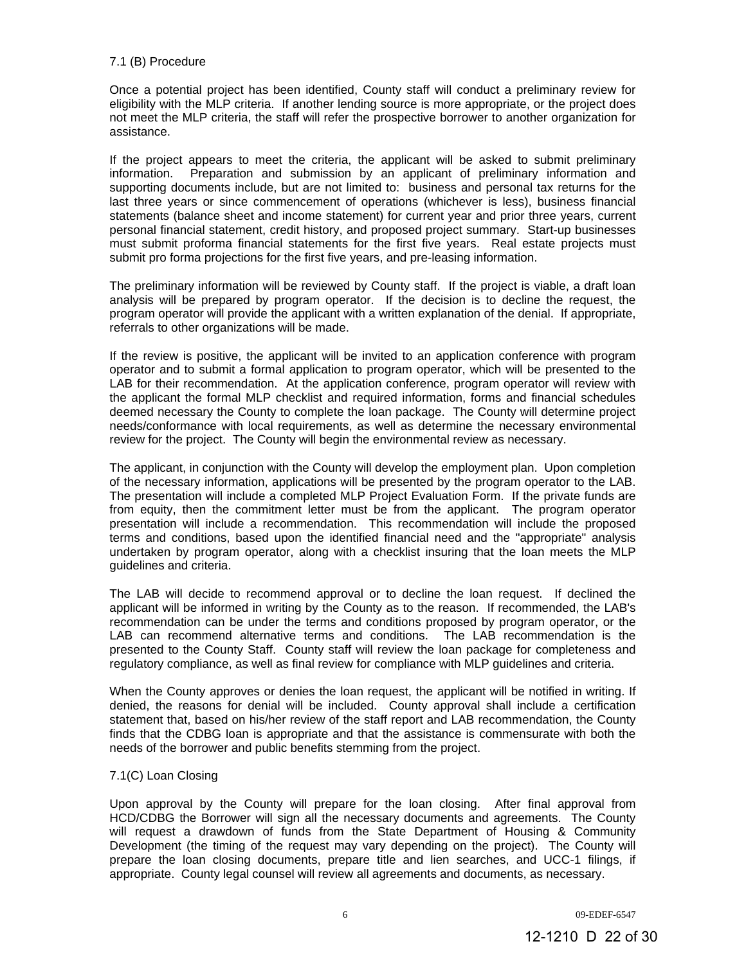## 7.1 (B) Procedure

Once a potential project has been identified, County staff will conduct a preliminary review for eligibility with the MLP criteria. If another lending source is more appropriate, or the project does not meet the MLP criteria, the staff will refer the prospective borrower to another organization for assistance.

If the project appears to meet the criteria, the applicant will be asked to submit preliminary information. Preparation and submission by an applicant of preliminary information and supporting documents include, but are not limited to: business and personal tax returns for the last three years or since commencement of operations (whichever is less), business financial statements (balance sheet and income statement) for current year and prior three years, current personal financial statement, credit history, and proposed project summary. Start-up businesses must submit proforma financial statements for the first five years. Real estate projects must submit pro forma projections for the first five years, and pre-leasing information.

The preliminary information will be reviewed by County staff. If the project is viable, a draft loan analysis will be prepared by program operator. If the decision is to decline the request, the program operator will provide the applicant with a written explanation of the denial. If appropriate, referrals to other organizations will be made.

If the review is positive, the applicant will be invited to an application conference with program operator and to submit a formal application to program operator, which will be presented to the LAB for their recommendation. At the application conference, program operator will review with the applicant the formal MLP checklist and required information, forms and financial schedules deemed necessary the County to complete the loan package. The County will determine project needs/conformance with local requirements, as well as determine the necessary environmental review for the project. The County will begin the environmental review as necessary.

The applicant, in conjunction with the County will develop the employment plan. Upon completion of the necessary information, applications will be presented by the program operator to the LAB. The presentation will include a completed MLP Project Evaluation Form. If the private funds are from equity, then the commitment letter must be from the applicant. The program operator presentation will include a recommendation. This recommendation will include the proposed terms and conditions, based upon the identified financial need and the "appropriate" analysis undertaken by program operator, along with a checklist insuring that the loan meets the MLP guidelines and criteria.

The LAB will decide to recommend approval or to decline the loan request. If declined the applicant will be informed in writing by the County as to the reason. If recommended, the LAB's recommendation can be under the terms and conditions proposed by program operator, or the LAB can recommend alternative terms and conditions. The LAB recommendation is the presented to the County Staff. County staff will review the loan package for completeness and regulatory compliance, as well as final review for compliance with MLP guidelines and criteria.

When the County approves or denies the loan request, the applicant will be notified in writing. If denied, the reasons for denial will be included. County approval shall include a certification statement that, based on his/her review of the staff report and LAB recommendation, the County finds that the CDBG loan is appropriate and that the assistance is commensurate with both the needs of the borrower and public benefits stemming from the project.

## 7.1(C) Loan Closing

Upon approval by the County will prepare for the loan closing. After final approval from HCD/CDBG the Borrower will sign all the necessary documents and agreements. The County will request a drawdown of funds from the State Department of Housing & Community Development (the timing of the request may vary depending on the project). The County will prepare the loan closing documents, prepare title and lien searches, and UCC-1 filings, if appropriate. County legal counsel will review all agreements and documents, as necessary.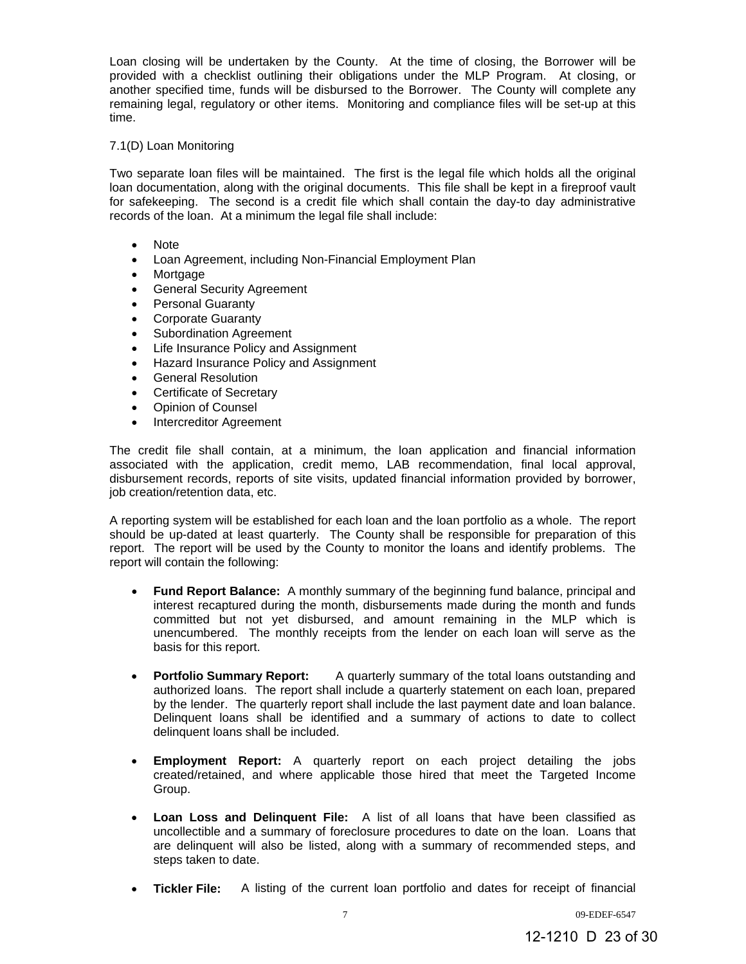Loan closing will be undertaken by the County. At the time of closing, the Borrower will be provided with a checklist outlining their obligations under the MLP Program. At closing, or another specified time, funds will be disbursed to the Borrower. The County will complete any remaining legal, regulatory or other items. Monitoring and compliance files will be set-up at this time.

## 7.1(D) Loan Monitoring

Two separate loan files will be maintained. The first is the legal file which holds all the original loan documentation, along with the original documents. This file shall be kept in a fireproof vault for safekeeping. The second is a credit file which shall contain the day-to day administrative records of the loan. At a minimum the legal file shall include:

- Note
- Loan Agreement, including Non-Financial Employment Plan
- Mortgage
- **•** General Security Agreement
- Personal Guaranty
- Corporate Guaranty
- Subordination Agreement
- Life Insurance Policy and Assignment
- Hazard Insurance Policy and Assignment
- **•** General Resolution
- Certificate of Secretary
- Opinion of Counsel
- Intercreditor Agreement

The credit file shall contain, at a minimum, the loan application and financial information associated with the application, credit memo, LAB recommendation, final local approval, disbursement records, reports of site visits, updated financial information provided by borrower, job creation/retention data, etc.

A reporting system will be established for each loan and the loan portfolio as a whole. The report should be up-dated at least quarterly. The County shall be responsible for preparation of this report. The report will be used by the County to monitor the loans and identify problems. The report will contain the following:

- **Fund Report Balance:** A monthly summary of the beginning fund balance, principal and interest recaptured during the month, disbursements made during the month and funds committed but not yet disbursed, and amount remaining in the MLP which is unencumbered. The monthly receipts from the lender on each loan will serve as the basis for this report.
- **Portfolio Summary Report:** A quarterly summary of the total loans outstanding and authorized loans. The report shall include a quarterly statement on each loan, prepared by the lender. The quarterly report shall include the last payment date and loan balance. Delinquent loans shall be identified and a summary of actions to date to collect delinquent loans shall be included.
- **Employment Report:** A quarterly report on each project detailing the jobs created/retained, and where applicable those hired that meet the Targeted Income Group.
- **Loan Loss and Delinquent File:** A list of all loans that have been classified as uncollectible and a summary of foreclosure procedures to date on the loan. Loans that are delinquent will also be listed, along with a summary of recommended steps, and steps taken to date.
- **Tickler File:** A listing of the current loan portfolio and dates for receipt of financial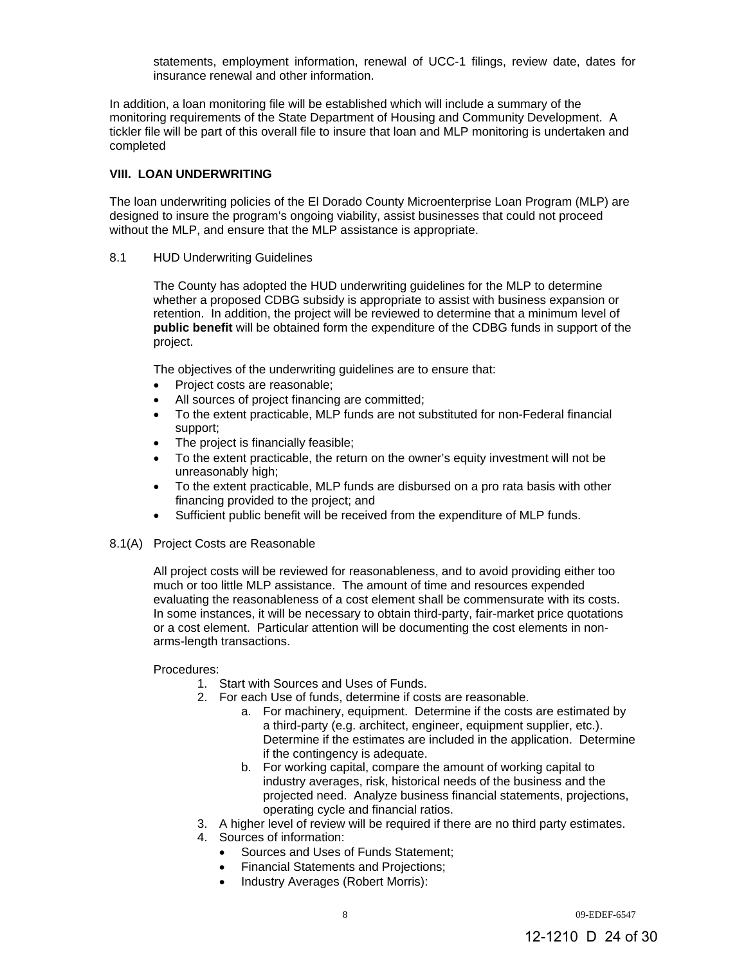statements, employment information, renewal of UCC-1 filings, review date, dates for insurance renewal and other information.

In addition, a loan monitoring file will be established which will include a summary of the monitoring requirements of the State Department of Housing and Community Development. A tickler file will be part of this overall file to insure that loan and MLP monitoring is undertaken and completed

## **VIII. LOAN UNDERWRITING**

The loan underwriting policies of the El Dorado County Microenterprise Loan Program (MLP) are designed to insure the program's ongoing viability, assist businesses that could not proceed without the MLP, and ensure that the MLP assistance is appropriate.

## 8.1 HUD Underwriting Guidelines

The County has adopted the HUD underwriting guidelines for the MLP to determine whether a proposed CDBG subsidy is appropriate to assist with business expansion or retention. In addition, the project will be reviewed to determine that a minimum level of **public benefit** will be obtained form the expenditure of the CDBG funds in support of the project.

The objectives of the underwriting guidelines are to ensure that:

- Project costs are reasonable;
- All sources of project financing are committed;
- To the extent practicable, MLP funds are not substituted for non-Federal financial support;
- The project is financially feasible;
- To the extent practicable, the return on the owner's equity investment will not be unreasonably high;
- To the extent practicable, MLP funds are disbursed on a pro rata basis with other financing provided to the project; and
- Sufficient public benefit will be received from the expenditure of MLP funds.
- 8.1(A) Project Costs are Reasonable

All project costs will be reviewed for reasonableness, and to avoid providing either too much or too little MLP assistance. The amount of time and resources expended evaluating the reasonableness of a cost element shall be commensurate with its costs. In some instances, it will be necessary to obtain third-party, fair-market price quotations or a cost element. Particular attention will be documenting the cost elements in nonarms-length transactions.

## Procedures:

- 1. Start with Sources and Uses of Funds.
- 2. For each Use of funds, determine if costs are reasonable.
	- a. For machinery, equipment. Determine if the costs are estimated by a third-party (e.g. architect, engineer, equipment supplier, etc.). Determine if the estimates are included in the application. Determine if the contingency is adequate.
	- b. For working capital, compare the amount of working capital to industry averages, risk, historical needs of the business and the projected need. Analyze business financial statements, projections, operating cycle and financial ratios.
- 3. A higher level of review will be required if there are no third party estimates.
- 4. Sources of information:
	- Sources and Uses of Funds Statement;
	- Financial Statements and Projections;
	- Industry Averages (Robert Morris):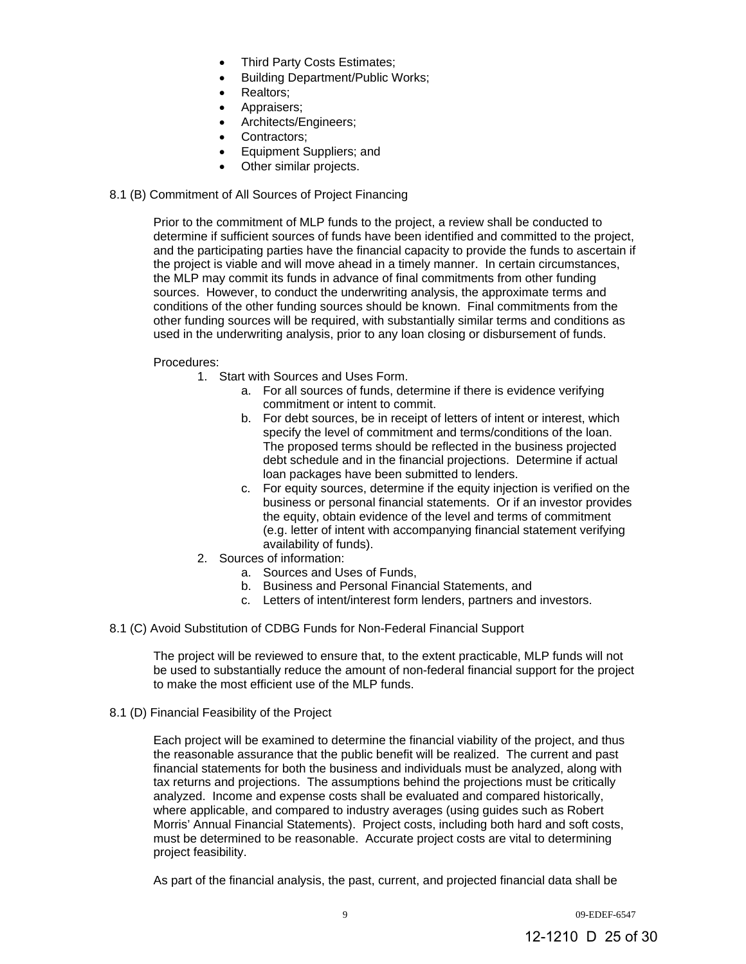- Third Party Costs Estimates;
- Building Department/Public Works;
- Realtors;
- Appraisers;
- Architects/Engineers;
- Contractors;
- Equipment Suppliers; and
- Other similar projects.

## 8.1 (B) Commitment of All Sources of Project Financing

Prior to the commitment of MLP funds to the project, a review shall be conducted to determine if sufficient sources of funds have been identified and committed to the project, and the participating parties have the financial capacity to provide the funds to ascertain if the project is viable and will move ahead in a timely manner. In certain circumstances, the MLP may commit its funds in advance of final commitments from other funding sources. However, to conduct the underwriting analysis, the approximate terms and conditions of the other funding sources should be known. Final commitments from the other funding sources will be required, with substantially similar terms and conditions as used in the underwriting analysis, prior to any loan closing or disbursement of funds.

## Procedures:

- 1. Start with Sources and Uses Form.
	- a. For all sources of funds, determine if there is evidence verifying commitment or intent to commit.
	- b. For debt sources, be in receipt of letters of intent or interest, which specify the level of commitment and terms/conditions of the loan. The proposed terms should be reflected in the business projected debt schedule and in the financial projections. Determine if actual loan packages have been submitted to lenders.
	- c. For equity sources, determine if the equity injection is verified on the business or personal financial statements. Or if an investor provides the equity, obtain evidence of the level and terms of commitment (e.g. letter of intent with accompanying financial statement verifying availability of funds).
- 2. Sources of information:
	- a. Sources and Uses of Funds,
	- b. Business and Personal Financial Statements, and
	- c. Letters of intent/interest form lenders, partners and investors.
- 8.1 (C) Avoid Substitution of CDBG Funds for Non-Federal Financial Support

The project will be reviewed to ensure that, to the extent practicable, MLP funds will not be used to substantially reduce the amount of non-federal financial support for the project to make the most efficient use of the MLP funds.

8.1 (D) Financial Feasibility of the Project

Each project will be examined to determine the financial viability of the project, and thus the reasonable assurance that the public benefit will be realized. The current and past financial statements for both the business and individuals must be analyzed, along with tax returns and projections. The assumptions behind the projections must be critically analyzed. Income and expense costs shall be evaluated and compared historically, where applicable, and compared to industry averages (using guides such as Robert Morris' Annual Financial Statements). Project costs, including both hard and soft costs, must be determined to be reasonable. Accurate project costs are vital to determining project feasibility.

As part of the financial analysis, the past, current, and projected financial data shall be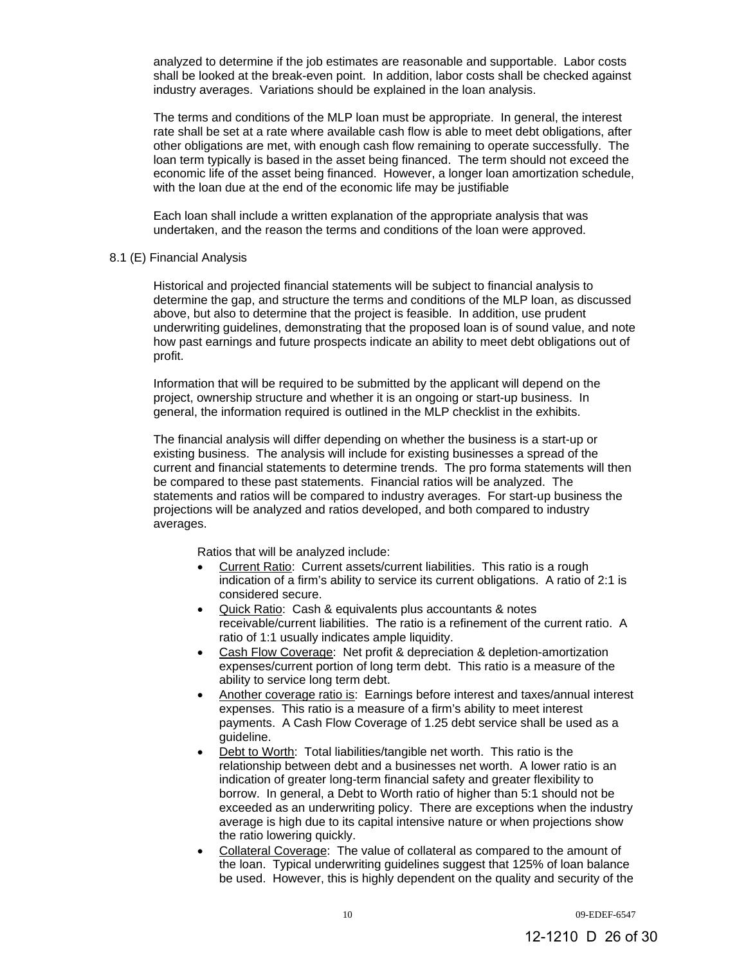analyzed to determine if the job estimates are reasonable and supportable. Labor costs shall be looked at the break-even point. In addition, labor costs shall be checked against industry averages. Variations should be explained in the loan analysis.

The terms and conditions of the MLP loan must be appropriate. In general, the interest rate shall be set at a rate where available cash flow is able to meet debt obligations, after other obligations are met, with enough cash flow remaining to operate successfully. The loan term typically is based in the asset being financed. The term should not exceed the economic life of the asset being financed. However, a longer loan amortization schedule, with the loan due at the end of the economic life may be justifiable

Each loan shall include a written explanation of the appropriate analysis that was undertaken, and the reason the terms and conditions of the loan were approved.

#### 8.1 (E) Financial Analysis

Historical and projected financial statements will be subject to financial analysis to determine the gap, and structure the terms and conditions of the MLP loan, as discussed above, but also to determine that the project is feasible. In addition, use prudent underwriting guidelines, demonstrating that the proposed loan is of sound value, and note how past earnings and future prospects indicate an ability to meet debt obligations out of profit.

Information that will be required to be submitted by the applicant will depend on the project, ownership structure and whether it is an ongoing or start-up business. In general, the information required is outlined in the MLP checklist in the exhibits.

The financial analysis will differ depending on whether the business is a start-up or existing business. The analysis will include for existing businesses a spread of the current and financial statements to determine trends. The pro forma statements will then be compared to these past statements. Financial ratios will be analyzed. The statements and ratios will be compared to industry averages. For start-up business the projections will be analyzed and ratios developed, and both compared to industry averages.

Ratios that will be analyzed include:

- Current Ratio: Current assets/current liabilities. This ratio is a rough indication of a firm's ability to service its current obligations. A ratio of 2:1 is considered secure.
- Quick Ratio: Cash & equivalents plus accountants & notes receivable/current liabilities. The ratio is a refinement of the current ratio. A ratio of 1:1 usually indicates ample liquidity.
- Cash Flow Coverage: Net profit & depreciation & depletion-amortization expenses/current portion of long term debt. This ratio is a measure of the ability to service long term debt.
- Another coverage ratio is: Earnings before interest and taxes/annual interest expenses. This ratio is a measure of a firm's ability to meet interest payments. A Cash Flow Coverage of 1.25 debt service shall be used as a guideline.
- Debt to Worth: Total liabilities/tangible net worth. This ratio is the relationship between debt and a businesses net worth. A lower ratio is an indication of greater long-term financial safety and greater flexibility to borrow. In general, a Debt to Worth ratio of higher than 5:1 should not be exceeded as an underwriting policy. There are exceptions when the industry average is high due to its capital intensive nature or when projections show the ratio lowering quickly.
- Collateral Coverage: The value of collateral as compared to the amount of the loan. Typical underwriting guidelines suggest that 125% of loan balance be used. However, this is highly dependent on the quality and security of the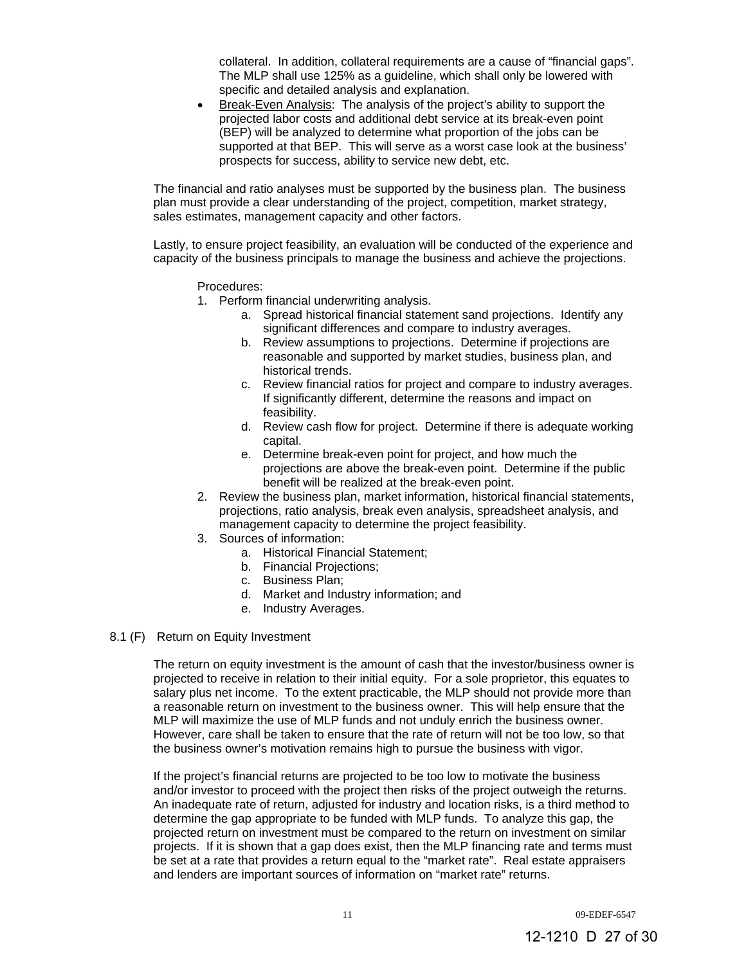collateral. In addition, collateral requirements are a cause of "financial gaps". The MLP shall use 125% as a guideline, which shall only be lowered with specific and detailed analysis and explanation.

 Break-Even Analysis: The analysis of the project's ability to support the projected labor costs and additional debt service at its break-even point (BEP) will be analyzed to determine what proportion of the jobs can be supported at that BEP. This will serve as a worst case look at the business' prospects for success, ability to service new debt, etc.

The financial and ratio analyses must be supported by the business plan. The business plan must provide a clear understanding of the project, competition, market strategy, sales estimates, management capacity and other factors.

Lastly, to ensure project feasibility, an evaluation will be conducted of the experience and capacity of the business principals to manage the business and achieve the projections.

Procedures:

- 1. Perform financial underwriting analysis.
	- a. Spread historical financial statement sand projections. Identify any significant differences and compare to industry averages.
	- b. Review assumptions to projections. Determine if projections are reasonable and supported by market studies, business plan, and historical trends.
	- c. Review financial ratios for project and compare to industry averages. If significantly different, determine the reasons and impact on feasibility.
	- d. Review cash flow for project. Determine if there is adequate working capital.
	- e. Determine break-even point for project, and how much the projections are above the break-even point. Determine if the public benefit will be realized at the break-even point.
- 2. Review the business plan, market information, historical financial statements, projections, ratio analysis, break even analysis, spreadsheet analysis, and management capacity to determine the project feasibility.
- 3. Sources of information:
	- a. Historical Financial Statement;
		- b. Financial Projections;
		- c. Business Plan;
		- d. Market and Industry information; and
		- e. Industry Averages.
- 8.1 (F) Return on Equity Investment

The return on equity investment is the amount of cash that the investor/business owner is projected to receive in relation to their initial equity. For a sole proprietor, this equates to salary plus net income. To the extent practicable, the MLP should not provide more than a reasonable return on investment to the business owner. This will help ensure that the MLP will maximize the use of MLP funds and not unduly enrich the business owner. However, care shall be taken to ensure that the rate of return will not be too low, so that the business owner's motivation remains high to pursue the business with vigor.

If the project's financial returns are projected to be too low to motivate the business and/or investor to proceed with the project then risks of the project outweigh the returns. An inadequate rate of return, adjusted for industry and location risks, is a third method to determine the gap appropriate to be funded with MLP funds. To analyze this gap, the projected return on investment must be compared to the return on investment on similar projects. If it is shown that a gap does exist, then the MLP financing rate and terms must be set at a rate that provides a return equal to the "market rate". Real estate appraisers and lenders are important sources of information on "market rate" returns.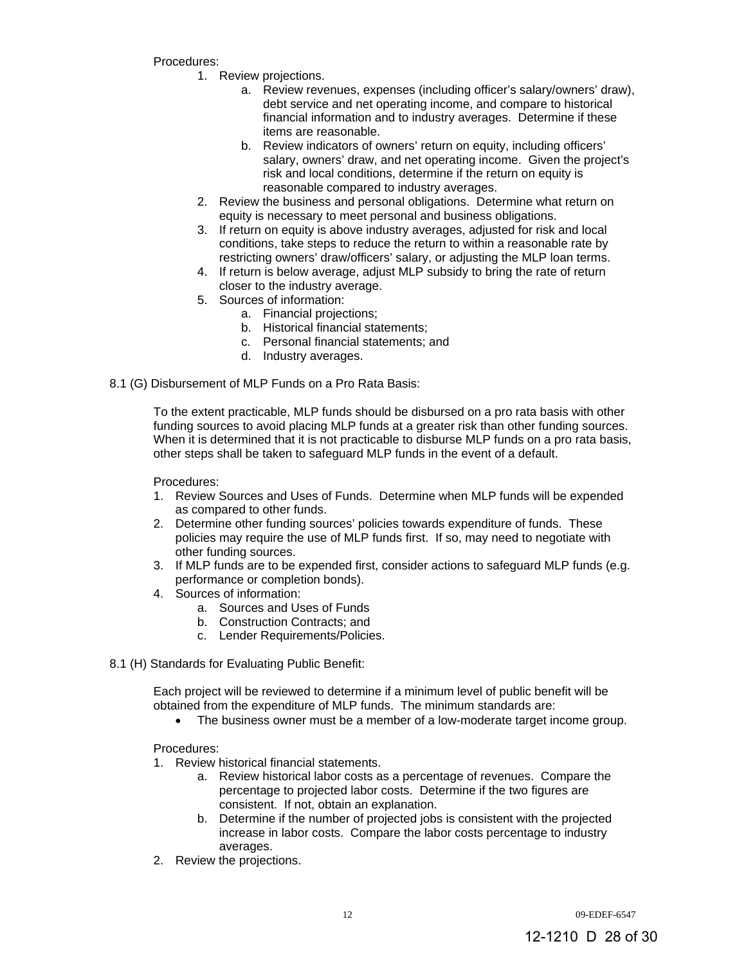Procedures:

- 1. Review projections.
	- a. Review revenues, expenses (including officer's salary/owners' draw), debt service and net operating income, and compare to historical financial information and to industry averages. Determine if these items are reasonable.
	- b. Review indicators of owners' return on equity, including officers' salary, owners' draw, and net operating income. Given the project's risk and local conditions, determine if the return on equity is reasonable compared to industry averages.
- 2. Review the business and personal obligations. Determine what return on equity is necessary to meet personal and business obligations.
- 3. If return on equity is above industry averages, adjusted for risk and local conditions, take steps to reduce the return to within a reasonable rate by restricting owners' draw/officers' salary, or adjusting the MLP loan terms.
- 4. If return is below average, adjust MLP subsidy to bring the rate of return closer to the industry average.
- 5. Sources of information:
	- a. Financial projections;
	- b. Historical financial statements;
	- c. Personal financial statements; and
	- d. Industry averages.
- 8.1 (G) Disbursement of MLP Funds on a Pro Rata Basis:

To the extent practicable, MLP funds should be disbursed on a pro rata basis with other funding sources to avoid placing MLP funds at a greater risk than other funding sources. When it is determined that it is not practicable to disburse MLP funds on a pro rata basis, other steps shall be taken to safeguard MLP funds in the event of a default.

Procedures:

- 1. Review Sources and Uses of Funds. Determine when MLP funds will be expended as compared to other funds.
- 2. Determine other funding sources' policies towards expenditure of funds. These policies may require the use of MLP funds first. If so, may need to negotiate with other funding sources.
- 3. If MLP funds are to be expended first, consider actions to safeguard MLP funds (e.g. performance or completion bonds).
- 4. Sources of information:
	- a. Sources and Uses of Funds
	- b. Construction Contracts; and
	- c. Lender Requirements/Policies.
- 8.1 (H) Standards for Evaluating Public Benefit:

Each project will be reviewed to determine if a minimum level of public benefit will be obtained from the expenditure of MLP funds. The minimum standards are:

The business owner must be a member of a low-moderate target income group.

Procedures:

- 1. Review historical financial statements.
	- a. Review historical labor costs as a percentage of revenues. Compare the percentage to projected labor costs. Determine if the two figures are consistent. If not, obtain an explanation.
	- b. Determine if the number of projected jobs is consistent with the projected increase in labor costs. Compare the labor costs percentage to industry averages.
- 2. Review the projections.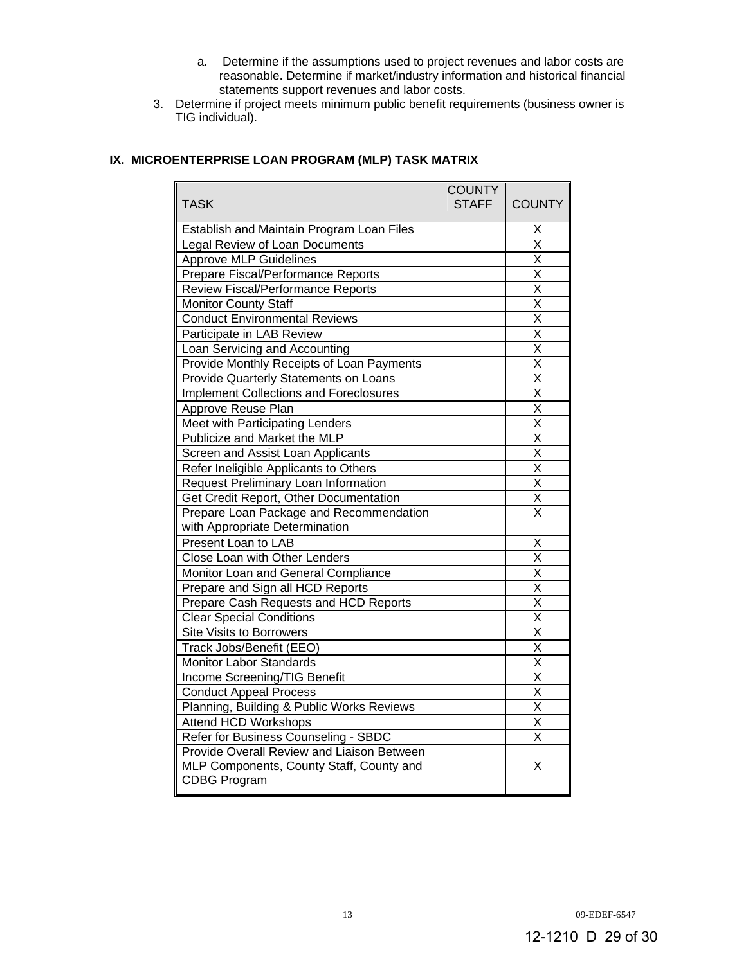- a. Determine if the assumptions used to project revenues and labor costs are reasonable. Determine if market/industry information and historical financial statements support revenues and labor costs.
- 3. Determine if project meets minimum public benefit requirements (business owner is TIG individual).

# **IX. MICROENTERPRISE LOAN PROGRAM (MLP) TASK MATRIX**

| <b>TASK</b>                                                                                                   | <b>COUNTY</b><br>STAFF I | <b>COUNTY</b>           |
|---------------------------------------------------------------------------------------------------------------|--------------------------|-------------------------|
| Establish and Maintain Program Loan Files                                                                     |                          | х                       |
| Legal Review of Loan Documents                                                                                |                          | $\overline{\mathsf{x}}$ |
| <b>Approve MLP Guidelines</b>                                                                                 |                          | X                       |
| Prepare Fiscal/Performance Reports                                                                            |                          | X                       |
| Review Fiscal/Performance Reports                                                                             |                          | $\overline{\mathsf{x}}$ |
| <b>Monitor County Staff</b>                                                                                   |                          | $\overline{\mathsf{x}}$ |
| <b>Conduct Environmental Reviews</b>                                                                          |                          | $\overline{\mathsf{x}}$ |
| Participate in LAB Review                                                                                     |                          | X                       |
| Loan Servicing and Accounting                                                                                 |                          | X                       |
| Provide Monthly Receipts of Loan Payments                                                                     |                          | $\overline{\mathsf{x}}$ |
| Provide Quarterly Statements on Loans                                                                         |                          | $\overline{\mathsf{x}}$ |
| <b>Implement Collections and Foreclosures</b>                                                                 |                          | $\overline{\mathsf{x}}$ |
| Approve Reuse Plan                                                                                            |                          | $\overline{\mathsf{x}}$ |
| Meet with Participating Lenders                                                                               |                          | X                       |
| Publicize and Market the MLP                                                                                  |                          | $\overline{\mathsf{x}}$ |
| Screen and Assist Loan Applicants                                                                             |                          | $\overline{\mathsf{x}}$ |
| Refer Ineligible Applicants to Others                                                                         |                          | $\overline{\mathsf{x}}$ |
| <b>Request Preliminary Loan Information</b>                                                                   |                          | $\overline{\mathsf{x}}$ |
| Get Credit Report, Other Documentation                                                                        |                          | $\overline{\mathsf{x}}$ |
| Prepare Loan Package and Recommendation                                                                       |                          | $\overline{\mathsf{x}}$ |
| with Appropriate Determination                                                                                |                          |                         |
| Present Loan to LAB                                                                                           |                          | Χ                       |
| Close Loan with Other Lenders                                                                                 |                          | $\overline{\mathsf{x}}$ |
| Monitor Loan and General Compliance                                                                           |                          | $\overline{\mathsf{x}}$ |
| Prepare and Sign all HCD Reports                                                                              |                          | Χ                       |
| Prepare Cash Requests and HCD Reports                                                                         |                          | X                       |
| <b>Clear Special Conditions</b>                                                                               |                          | $\overline{\mathsf{x}}$ |
| <b>Site Visits to Borrowers</b>                                                                               |                          | $\overline{\mathsf{x}}$ |
| Track Jobs/Benefit (EEO)                                                                                      |                          | $\overline{\mathsf{x}}$ |
| Monitor Labor Standards                                                                                       |                          | $\overline{\mathsf{x}}$ |
| Income Screening/TIG Benefit                                                                                  |                          | $\overline{\mathsf{x}}$ |
| <b>Conduct Appeal Process</b>                                                                                 |                          | $\overline{\mathsf{x}}$ |
| Planning, Building & Public Works Reviews                                                                     |                          | $\overline{\mathsf{x}}$ |
| Attend HCD Workshops                                                                                          |                          | $\overline{\mathsf{x}}$ |
| Refer for Business Counseling - SBDC                                                                          |                          | $\overline{\mathsf{x}}$ |
| Provide Overall Review and Liaison Between<br>MLP Components, County Staff, County and<br><b>CDBG Program</b> |                          | X                       |